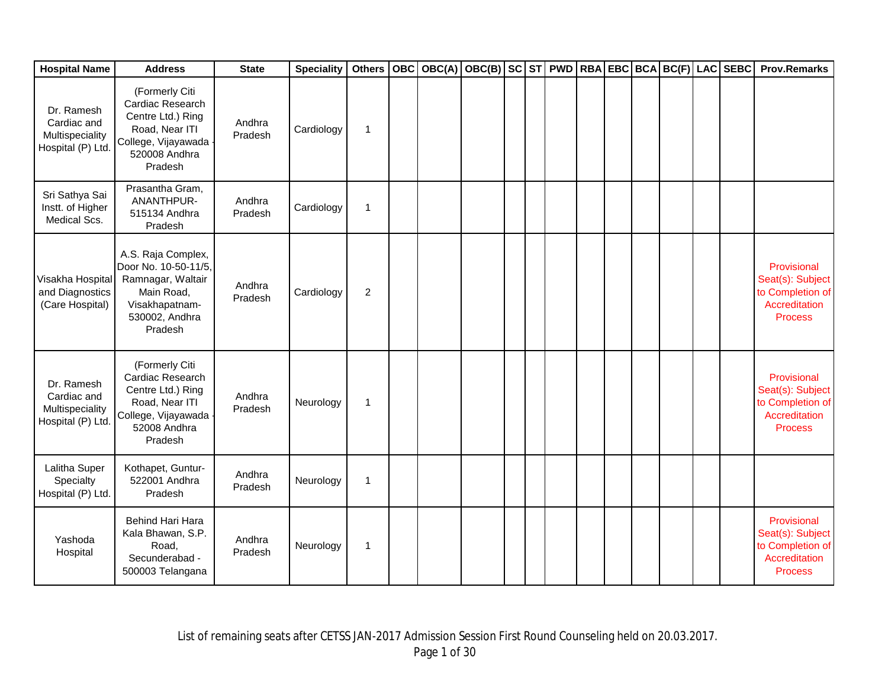| <b>Hospital Name</b>                                              | <b>Address</b>                                                                                                               | <b>State</b>      | <b>Speciality</b> | <b>Others</b>  |  | OBC OBC(A) OBC(B) SC ST PWD RBA EBC BCA BC(F) LAC SEBC |  |  |  |  | <b>Prov.Remarks</b>                                                                    |
|-------------------------------------------------------------------|------------------------------------------------------------------------------------------------------------------------------|-------------------|-------------------|----------------|--|--------------------------------------------------------|--|--|--|--|----------------------------------------------------------------------------------------|
| Dr. Ramesh<br>Cardiac and<br>Multispeciality<br>Hospital (P) Ltd. | (Formerly Citi<br>Cardiac Research<br>Centre Ltd.) Ring<br>Road, Near ITI<br>College, Vijayawada<br>520008 Andhra<br>Pradesh | Andhra<br>Pradesh | Cardiology        | 1              |  |                                                        |  |  |  |  |                                                                                        |
| Sri Sathya Sai<br>Instt. of Higher<br>Medical Scs.                | Prasantha Gram,<br>ANANTHPUR-<br>515134 Andhra<br>Pradesh                                                                    | Andhra<br>Pradesh | Cardiology        | 1              |  |                                                        |  |  |  |  |                                                                                        |
| Visakha Hospital<br>and Diagnostics<br>(Care Hospital)            | A.S. Raja Complex,<br>Door No. 10-50-11/5,<br>Ramnagar, Waltair<br>Main Road,<br>Visakhapatnam-<br>530002, Andhra<br>Pradesh | Andhra<br>Pradesh | Cardiology        | $\overline{c}$ |  |                                                        |  |  |  |  | Provisional<br>Seat(s): Subject<br>to Completion of<br>Accreditation<br><b>Process</b> |
| Dr. Ramesh<br>Cardiac and<br>Multispeciality<br>Hospital (P) Ltd. | (Formerly Citi<br>Cardiac Research<br>Centre Ltd.) Ring<br>Road, Near ITI<br>College, Vijayawada<br>52008 Andhra<br>Pradesh  | Andhra<br>Pradesh | Neurology         | 1              |  |                                                        |  |  |  |  | Provisional<br>Seat(s): Subject<br>to Completion of<br>Accreditation<br><b>Process</b> |
| Lalitha Super<br>Specialty<br>Hospital (P) Ltd.                   | Kothapet, Guntur-<br>522001 Andhra<br>Pradesh                                                                                | Andhra<br>Pradesh | Neurology         | 1              |  |                                                        |  |  |  |  |                                                                                        |
| Yashoda<br>Hospital                                               | Behind Hari Hara<br>Kala Bhawan, S.P.<br>Road,<br>Secunderabad -<br>500003 Telangana                                         | Andhra<br>Pradesh | Neurology         | 1              |  |                                                        |  |  |  |  | Provisional<br>Seat(s): Subject<br>to Completion of<br>Accreditation<br><b>Process</b> |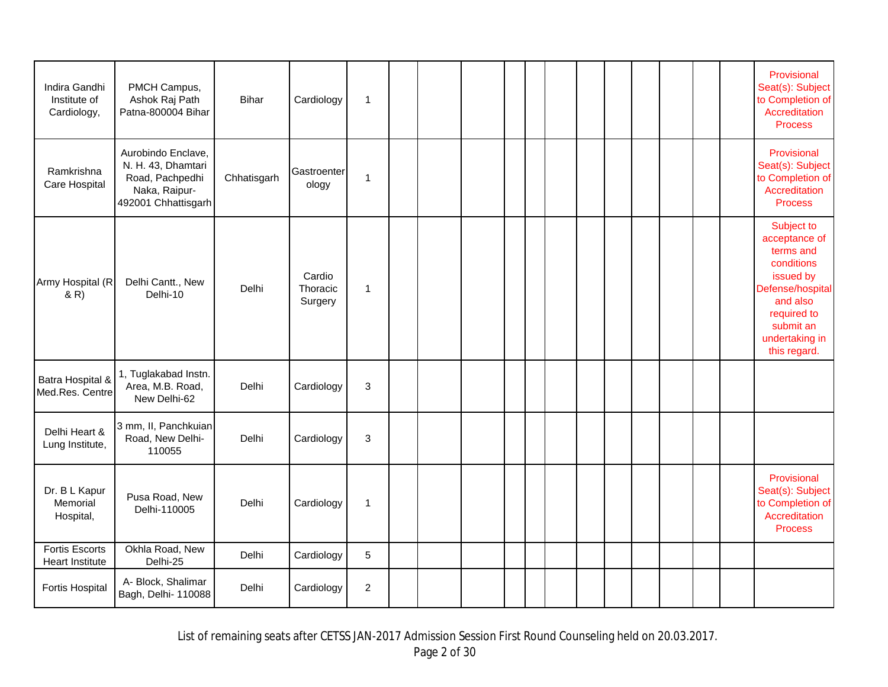| Indira Gandhi<br>Institute of<br>Cardiology,    | PMCH Campus,<br>Ashok Raj Path<br>Patna-800004 Bihar                                                | <b>Bihar</b> | Cardiology                    | $\mathbf{1}$   |  |  |  |  |  |  | Provisional<br>Seat(s): Subject<br>to Completion of<br>Accreditation<br><b>Process</b>                                                                            |
|-------------------------------------------------|-----------------------------------------------------------------------------------------------------|--------------|-------------------------------|----------------|--|--|--|--|--|--|-------------------------------------------------------------------------------------------------------------------------------------------------------------------|
| Ramkrishna<br>Care Hospital                     | Aurobindo Enclave,<br>N. H. 43, Dhamtari<br>Road, Pachpedhi<br>Naka, Raipur-<br>492001 Chhattisgarh | Chhatisgarh  | Gastroenter<br>ology          | 1              |  |  |  |  |  |  | Provisional<br>Seat(s): Subject<br>to Completion of<br>Accreditation<br><b>Process</b>                                                                            |
| Army Hospital (R<br>(R)                         | Delhi Cantt., New<br>Delhi-10                                                                       | Delhi        | Cardio<br>Thoracic<br>Surgery | $\mathbf{1}$   |  |  |  |  |  |  | Subject to<br>acceptance of<br>terms and<br>conditions<br>issued by<br>Defense/hospital<br>and also<br>required to<br>submit an<br>undertaking in<br>this regard. |
| Batra Hospital &<br>Med.Res. Centre             | 1, Tuglakabad Instn.<br>Area, M.B. Road,<br>New Delhi-62                                            | Delhi        | Cardiology                    | $\mathsf 3$    |  |  |  |  |  |  |                                                                                                                                                                   |
| Delhi Heart &<br>Lung Institute,                | 3 mm, II, Panchkuian<br>Road, New Delhi-<br>110055                                                  | Delhi        | Cardiology                    | $\sqrt{3}$     |  |  |  |  |  |  |                                                                                                                                                                   |
| Dr. B L Kapur<br>Memorial<br>Hospital,          | Pusa Road, New<br>Delhi-110005                                                                      | Delhi        | Cardiology                    | $\overline{1}$ |  |  |  |  |  |  | Provisional<br>Seat(s): Subject<br>to Completion of<br>Accreditation<br><b>Process</b>                                                                            |
| <b>Fortis Escorts</b><br><b>Heart Institute</b> | Okhla Road, New<br>Delhi-25                                                                         | Delhi        | Cardiology                    | $\overline{5}$ |  |  |  |  |  |  |                                                                                                                                                                   |
| Fortis Hospital                                 | A- Block, Shalimar<br>Bagh, Delhi- 110088                                                           | Delhi        | Cardiology                    | $\overline{c}$ |  |  |  |  |  |  |                                                                                                                                                                   |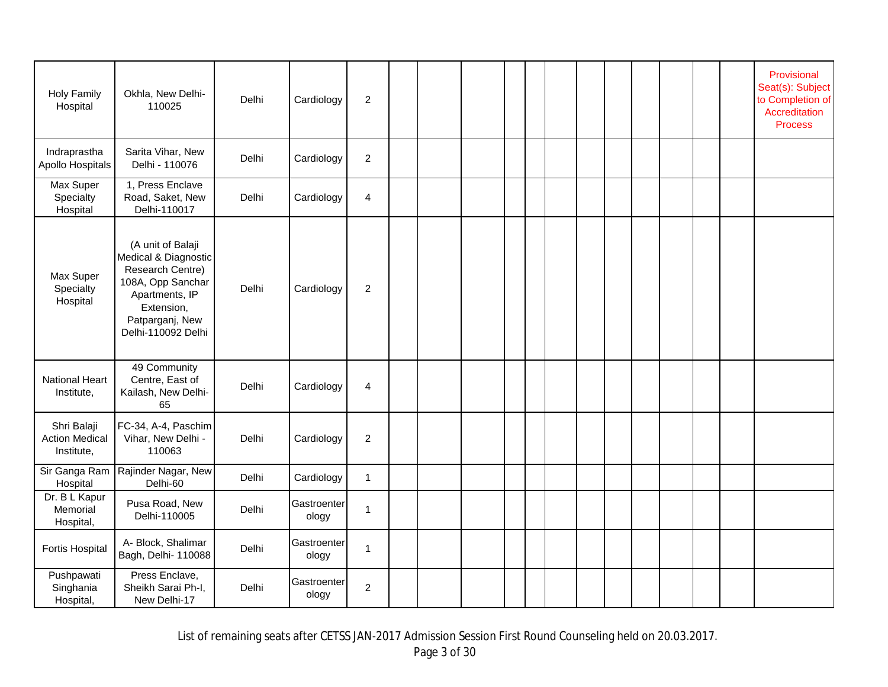| <b>Holy Family</b><br>Hospital                     | Okhla, New Delhi-<br>110025                                                                                                                                 | Delhi | Cardiology           | $\overline{2}$ |  |  |  |  |  |  | Provisional<br>Seat(s): Subject<br>to Completion of<br>Accreditation<br><b>Process</b> |
|----------------------------------------------------|-------------------------------------------------------------------------------------------------------------------------------------------------------------|-------|----------------------|----------------|--|--|--|--|--|--|----------------------------------------------------------------------------------------|
| Indraprastha<br>Apollo Hospitals                   | Sarita Vihar, New<br>Delhi - 110076                                                                                                                         | Delhi | Cardiology           | $\overline{2}$ |  |  |  |  |  |  |                                                                                        |
| Max Super<br>Specialty<br>Hospital                 | 1, Press Enclave<br>Road, Saket, New<br>Delhi-110017                                                                                                        | Delhi | Cardiology           | $\overline{4}$ |  |  |  |  |  |  |                                                                                        |
| Max Super<br>Specialty<br>Hospital                 | (A unit of Balaji<br>Medical & Diagnostic<br>Research Centre)<br>108A, Opp Sanchar<br>Apartments, IP<br>Extension,<br>Patparganj, New<br>Delhi-110092 Delhi | Delhi | Cardiology           | $\overline{c}$ |  |  |  |  |  |  |                                                                                        |
| National Heart<br>Institute,                       | 49 Community<br>Centre, East of<br>Kailash, New Delhi-<br>65                                                                                                | Delhi | Cardiology           | $\overline{4}$ |  |  |  |  |  |  |                                                                                        |
| Shri Balaji<br><b>Action Medical</b><br>Institute, | FC-34, A-4, Paschim<br>Vihar, New Delhi -<br>110063                                                                                                         | Delhi | Cardiology           | $\sqrt{2}$     |  |  |  |  |  |  |                                                                                        |
| Sir Ganga Ram<br>Hospital                          | Rajinder Nagar, New<br>Delhi-60                                                                                                                             | Delhi | Cardiology           | $\mathbf{1}$   |  |  |  |  |  |  |                                                                                        |
| Dr. B L Kapur<br>Memorial<br>Hospital,             | Pusa Road, New<br>Delhi-110005                                                                                                                              | Delhi | Gastroenter<br>ology | $\overline{1}$ |  |  |  |  |  |  |                                                                                        |
| Fortis Hospital                                    | A- Block, Shalimar<br>Bagh, Delhi- 110088                                                                                                                   | Delhi | Gastroenter<br>ology | $\mathbf{1}$   |  |  |  |  |  |  |                                                                                        |
| Pushpawati<br>Singhania<br>Hospital,               | Press Enclave,<br>Sheikh Sarai Ph-I,<br>New Delhi-17                                                                                                        | Delhi | Gastroenter<br>ology | $\overline{c}$ |  |  |  |  |  |  |                                                                                        |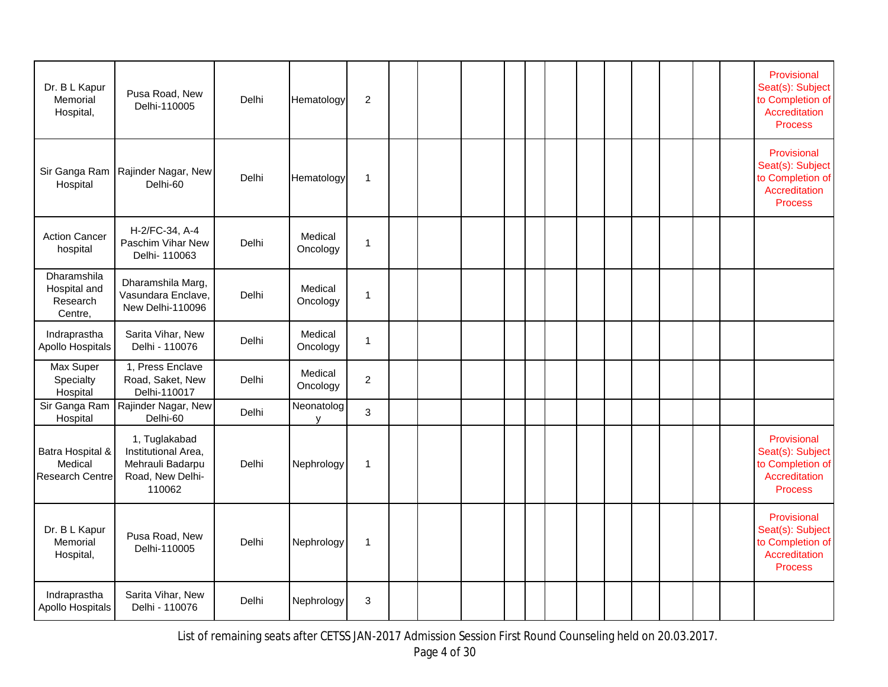| Dr. B L Kapur<br>Memorial<br>Hospital,                | Pusa Road, New<br>Delhi-110005                                                         | Delhi | Hematology          | $\overline{2}$ |  |  |  |  |  |  | Provisional<br>Seat(s): Subject<br>to Completion of<br>Accreditation<br><b>Process</b> |
|-------------------------------------------------------|----------------------------------------------------------------------------------------|-------|---------------------|----------------|--|--|--|--|--|--|----------------------------------------------------------------------------------------|
| Sir Ganga Ram<br>Hospital                             | Rajinder Nagar, New<br>Delhi-60                                                        | Delhi | Hematology          | $\mathbf{1}$   |  |  |  |  |  |  | Provisional<br>Seat(s): Subject<br>to Completion of<br>Accreditation<br><b>Process</b> |
| <b>Action Cancer</b><br>hospital                      | H-2/FC-34, A-4<br>Paschim Vihar New<br>Delhi- 110063                                   | Delhi | Medical<br>Oncology | $\overline{1}$ |  |  |  |  |  |  |                                                                                        |
| Dharamshila<br>Hospital and<br>Research<br>Centre,    | Dharamshila Marg,<br>Vasundara Enclave,<br>New Delhi-110096                            | Delhi | Medical<br>Oncology | $\overline{1}$ |  |  |  |  |  |  |                                                                                        |
| Indraprastha<br>Apollo Hospitals                      | Sarita Vihar, New<br>Delhi - 110076                                                    | Delhi | Medical<br>Oncology | $\mathbf{1}$   |  |  |  |  |  |  |                                                                                        |
| Max Super<br>Specialty<br>Hospital                    | 1, Press Enclave<br>Road, Saket, New<br>Delhi-110017                                   | Delhi | Medical<br>Oncology | $\overline{c}$ |  |  |  |  |  |  |                                                                                        |
| Sir Ganga Ram<br>Hospital                             | Rajinder Nagar, New<br>Delhi-60                                                        | Delhi | Neonatolog<br>y     | $\mathbf{3}$   |  |  |  |  |  |  |                                                                                        |
| Batra Hospital &<br>Medical<br><b>Research Centre</b> | 1, Tuglakabad<br>Institutional Area,<br>Mehrauli Badarpu<br>Road, New Delhi-<br>110062 | Delhi | Nephrology          | $\overline{1}$ |  |  |  |  |  |  | Provisional<br>Seat(s): Subject<br>to Completion of<br>Accreditation<br><b>Process</b> |
| Dr. B L Kapur<br>Memorial<br>Hospital,                | Pusa Road, New<br>Delhi-110005                                                         | Delhi | Nephrology          | $\overline{1}$ |  |  |  |  |  |  | Provisional<br>Seat(s): Subject<br>to Completion of<br>Accreditation<br><b>Process</b> |
| Indraprastha<br>Apollo Hospitals                      | Sarita Vihar, New<br>Delhi - 110076                                                    | Delhi | Nephrology          | 3              |  |  |  |  |  |  |                                                                                        |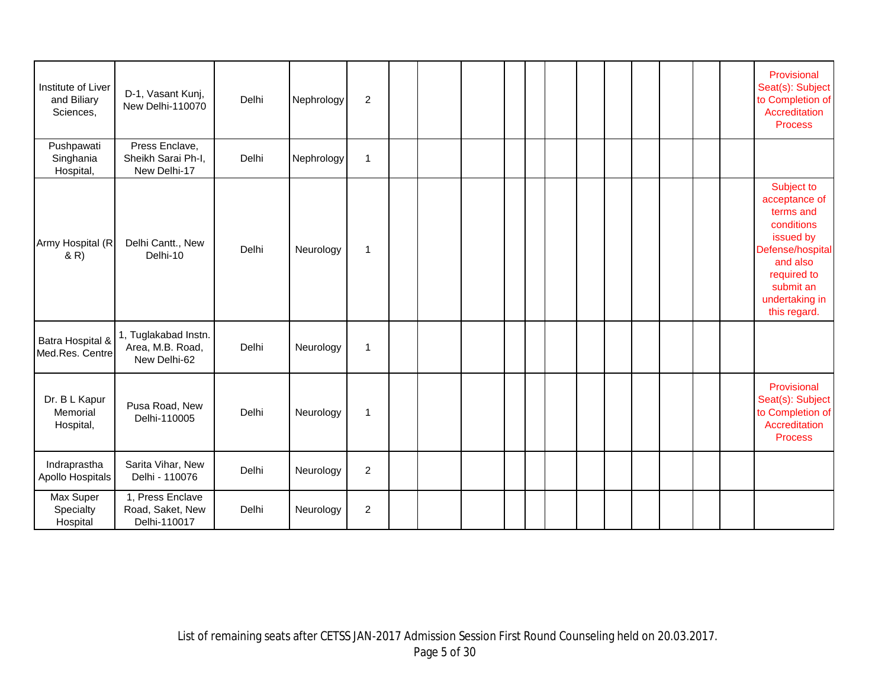| Institute of Liver<br>and Biliary<br>Sciences, | D-1, Vasant Kunj,<br>New Delhi-110070                    | Delhi | Nephrology | $\overline{2}$   |  |  |  |  |  |  | Provisional<br>Seat(s): Subject<br>to Completion of<br>Accreditation<br><b>Process</b>                                                                            |
|------------------------------------------------|----------------------------------------------------------|-------|------------|------------------|--|--|--|--|--|--|-------------------------------------------------------------------------------------------------------------------------------------------------------------------|
| Pushpawati<br>Singhania<br>Hospital,           | Press Enclave,<br>Sheikh Sarai Ph-I,<br>New Delhi-17     | Delhi | Nephrology | $\mathbf{1}$     |  |  |  |  |  |  |                                                                                                                                                                   |
| Army Hospital (R<br>(R)                        | Delhi Cantt., New<br>Delhi-10                            | Delhi | Neurology  | $\mathbf{1}$     |  |  |  |  |  |  | Subject to<br>acceptance of<br>terms and<br>conditions<br>issued by<br>Defense/hospital<br>and also<br>required to<br>submit an<br>undertaking in<br>this regard. |
| Batra Hospital &<br>Med.Res. Centre            | 1, Tuglakabad Instn.<br>Area, M.B. Road,<br>New Delhi-62 | Delhi | Neurology  | $\mathbf{1}$     |  |  |  |  |  |  |                                                                                                                                                                   |
| Dr. B L Kapur<br>Memorial<br>Hospital,         | Pusa Road, New<br>Delhi-110005                           | Delhi | Neurology  | $\mathbf{1}$     |  |  |  |  |  |  | Provisional<br>Seat(s): Subject<br>to Completion of<br>Accreditation<br><b>Process</b>                                                                            |
| Indraprastha<br>Apollo Hospitals               | Sarita Vihar, New<br>Delhi - 110076                      | Delhi | Neurology  | $\overline{c}$   |  |  |  |  |  |  |                                                                                                                                                                   |
| Max Super<br>Specialty<br>Hospital             | 1, Press Enclave<br>Road, Saket, New<br>Delhi-110017     | Delhi | Neurology  | $\boldsymbol{2}$ |  |  |  |  |  |  |                                                                                                                                                                   |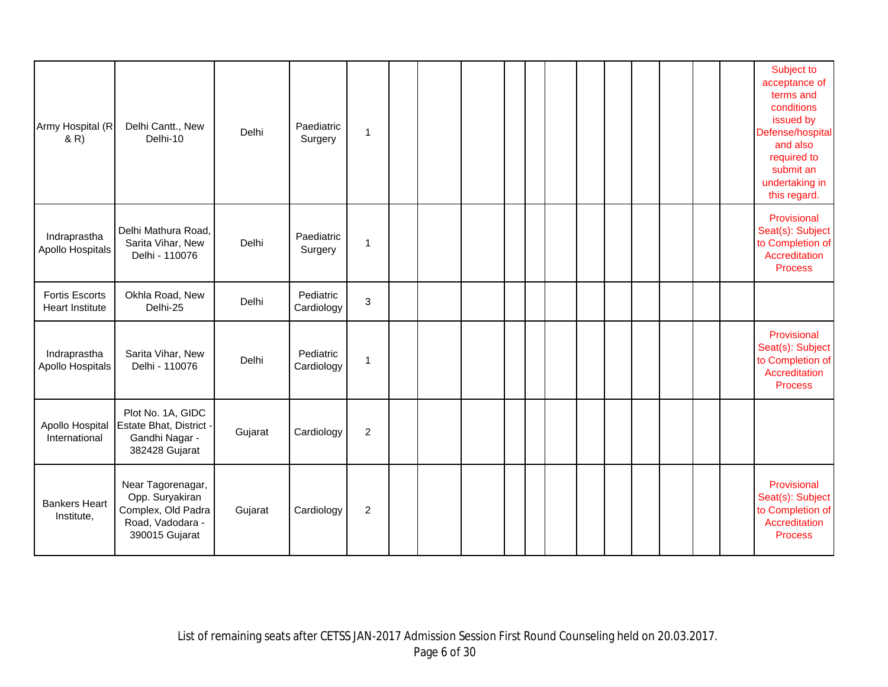| Army Hospital (R<br>& R)                        | Delhi Cantt., New<br>Delhi-10                                                                    | Delhi   | Paediatric<br>Surgery   | 1                |  |  |  |  |  |  | Subject to<br>acceptance of<br>terms and<br>conditions<br>issued by<br>Defense/hospital<br>and also<br>required to<br>submit an<br>undertaking in<br>this regard. |
|-------------------------------------------------|--------------------------------------------------------------------------------------------------|---------|-------------------------|------------------|--|--|--|--|--|--|-------------------------------------------------------------------------------------------------------------------------------------------------------------------|
| Indraprastha<br>Apollo Hospitals                | Delhi Mathura Road,<br>Sarita Vihar, New<br>Delhi - 110076                                       | Delhi   | Paediatric<br>Surgery   | $\mathbf{1}$     |  |  |  |  |  |  | Provisional<br>Seat(s): Subject<br>to Completion of<br>Accreditation<br><b>Process</b>                                                                            |
| <b>Fortis Escorts</b><br><b>Heart Institute</b> | Okhla Road, New<br>Delhi-25                                                                      | Delhi   | Pediatric<br>Cardiology | 3                |  |  |  |  |  |  |                                                                                                                                                                   |
| Indraprastha<br>Apollo Hospitals                | Sarita Vihar, New<br>Delhi - 110076                                                              | Delhi   | Pediatric<br>Cardiology | 1                |  |  |  |  |  |  | Provisional<br>Seat(s): Subject<br>to Completion of<br>Accreditation<br><b>Process</b>                                                                            |
| Apollo Hospital<br>International                | Plot No. 1A, GIDC<br>Estate Bhat, District -<br>Gandhi Nagar -<br>382428 Gujarat                 | Gujarat | Cardiology              | $\boldsymbol{2}$ |  |  |  |  |  |  |                                                                                                                                                                   |
| <b>Bankers Heart</b><br>Institute,              | Near Tagorenagar,<br>Opp. Suryakiran<br>Complex, Old Padra<br>Road, Vadodara -<br>390015 Gujarat | Gujarat | Cardiology              | $\overline{c}$   |  |  |  |  |  |  | Provisional<br>Seat(s): Subject<br>to Completion of<br>Accreditation<br><b>Process</b>                                                                            |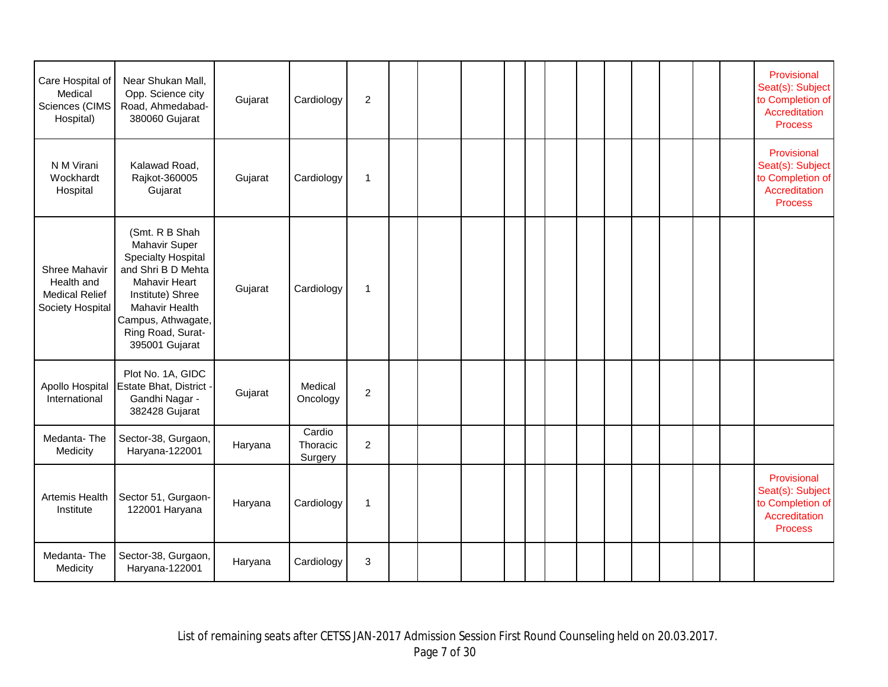| Care Hospital of<br>Medical<br>Sciences (CIMS<br>Hospital)               | Near Shukan Mall,<br>Opp. Science city<br>Road, Ahmedabad-<br>380060 Gujarat                                                                                                                                  | Gujarat | Cardiology                    | $\overline{2}$   |  |  |  |  |  |  | Provisional<br>Seat(s): Subject<br>to Completion of<br>Accreditation<br><b>Process</b> |
|--------------------------------------------------------------------------|---------------------------------------------------------------------------------------------------------------------------------------------------------------------------------------------------------------|---------|-------------------------------|------------------|--|--|--|--|--|--|----------------------------------------------------------------------------------------|
| N M Virani<br>Wockhardt<br>Hospital                                      | Kalawad Road,<br>Rajkot-360005<br>Gujarat                                                                                                                                                                     | Gujarat | Cardiology                    | $\mathbf{1}$     |  |  |  |  |  |  | Provisional<br>Seat(s): Subject<br>to Completion of<br>Accreditation<br><b>Process</b> |
| Shree Mahavir<br>Health and<br><b>Medical Relief</b><br>Society Hospital | (Smt. R B Shah<br>Mahavir Super<br><b>Specialty Hospital</b><br>and Shri B D Mehta<br><b>Mahavir Heart</b><br>Institute) Shree<br>Mahavir Health<br>Campus, Athwagate,<br>Ring Road, Surat-<br>395001 Gujarat | Gujarat | Cardiology                    | $\mathbf{1}$     |  |  |  |  |  |  |                                                                                        |
| Apollo Hospital<br>International                                         | Plot No. 1A, GIDC<br>Estate Bhat, District -<br>Gandhi Nagar -<br>382428 Gujarat                                                                                                                              | Gujarat | Medical<br>Oncology           | $\sqrt{2}$       |  |  |  |  |  |  |                                                                                        |
| Medanta-The<br>Medicity                                                  | Sector-38, Gurgaon,<br>Haryana-122001                                                                                                                                                                         | Haryana | Cardio<br>Thoracic<br>Surgery | $\boldsymbol{2}$ |  |  |  |  |  |  |                                                                                        |
| Artemis Health<br>Institute                                              | Sector 51, Gurgaon-<br>122001 Haryana                                                                                                                                                                         | Haryana | Cardiology                    | 1                |  |  |  |  |  |  | Provisional<br>Seat(s): Subject<br>to Completion of<br>Accreditation<br><b>Process</b> |
| Medanta-The<br>Medicity                                                  | Sector-38, Gurgaon,<br>Haryana-122001                                                                                                                                                                         | Haryana | Cardiology                    | $\sqrt{3}$       |  |  |  |  |  |  |                                                                                        |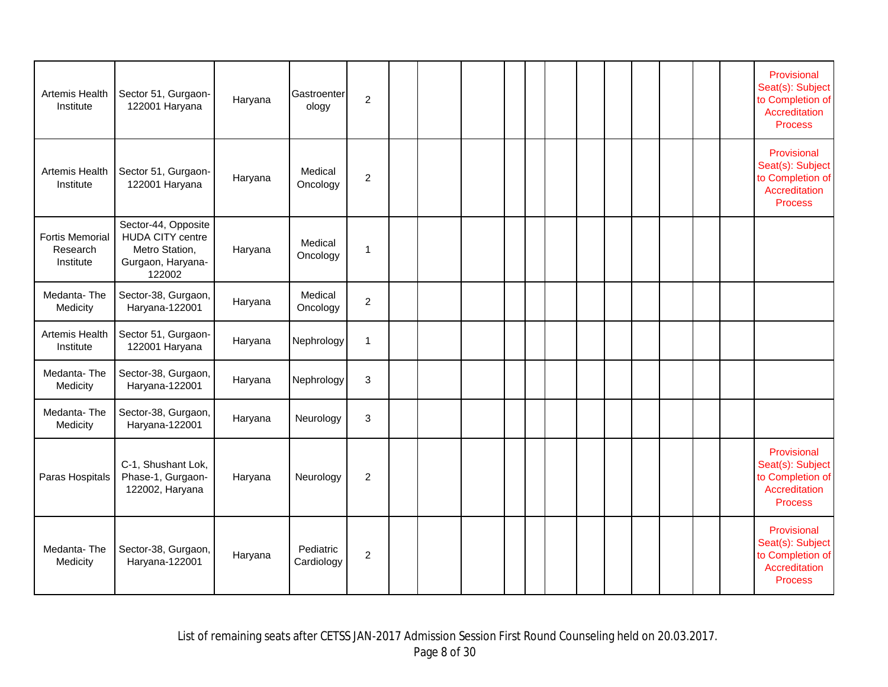| Artemis Health<br>Institute                     | Sector 51, Gurgaon-<br>122001 Haryana                                                           | Haryana | Gastroenter<br>ology    | $\overline{c}$ |  |  |  |  |  |  | Provisional<br>Seat(s): Subject<br>to Completion of<br>Accreditation<br><b>Process</b> |
|-------------------------------------------------|-------------------------------------------------------------------------------------------------|---------|-------------------------|----------------|--|--|--|--|--|--|----------------------------------------------------------------------------------------|
| Artemis Health<br>Institute                     | Sector 51, Gurgaon-<br>122001 Haryana                                                           | Haryana | Medical<br>Oncology     | $\overline{2}$ |  |  |  |  |  |  | Provisional<br>Seat(s): Subject<br>to Completion of<br>Accreditation<br><b>Process</b> |
| <b>Fortis Memorial</b><br>Research<br>Institute | Sector-44, Opposite<br><b>HUDA CITY centre</b><br>Metro Station,<br>Gurgaon, Haryana-<br>122002 | Haryana | Medical<br>Oncology     | $\overline{1}$ |  |  |  |  |  |  |                                                                                        |
| Medanta-The<br>Medicity                         | Sector-38, Gurgaon,<br>Haryana-122001                                                           | Haryana | Medical<br>Oncology     | $\overline{c}$ |  |  |  |  |  |  |                                                                                        |
| Artemis Health<br>Institute                     | Sector 51, Gurgaon-<br>122001 Haryana                                                           | Haryana | Nephrology              | $\overline{1}$ |  |  |  |  |  |  |                                                                                        |
| Medanta-The<br>Medicity                         | Sector-38, Gurgaon,<br>Haryana-122001                                                           | Haryana | Nephrology              | $\mathbf{3}$   |  |  |  |  |  |  |                                                                                        |
| Medanta-The<br>Medicity                         | Sector-38, Gurgaon,<br>Haryana-122001                                                           | Haryana | Neurology               | 3              |  |  |  |  |  |  |                                                                                        |
| Paras Hospitals                                 | C-1, Shushant Lok,<br>Phase-1, Gurgaon-<br>122002, Haryana                                      | Haryana | Neurology               | $\overline{2}$ |  |  |  |  |  |  | Provisional<br>Seat(s): Subject<br>to Completion of<br>Accreditation<br><b>Process</b> |
| Medanta-The<br>Medicity                         | Sector-38, Gurgaon,<br>Haryana-122001                                                           | Haryana | Pediatric<br>Cardiology | $\overline{2}$ |  |  |  |  |  |  | Provisional<br>Seat(s): Subject<br>to Completion of<br>Accreditation<br><b>Process</b> |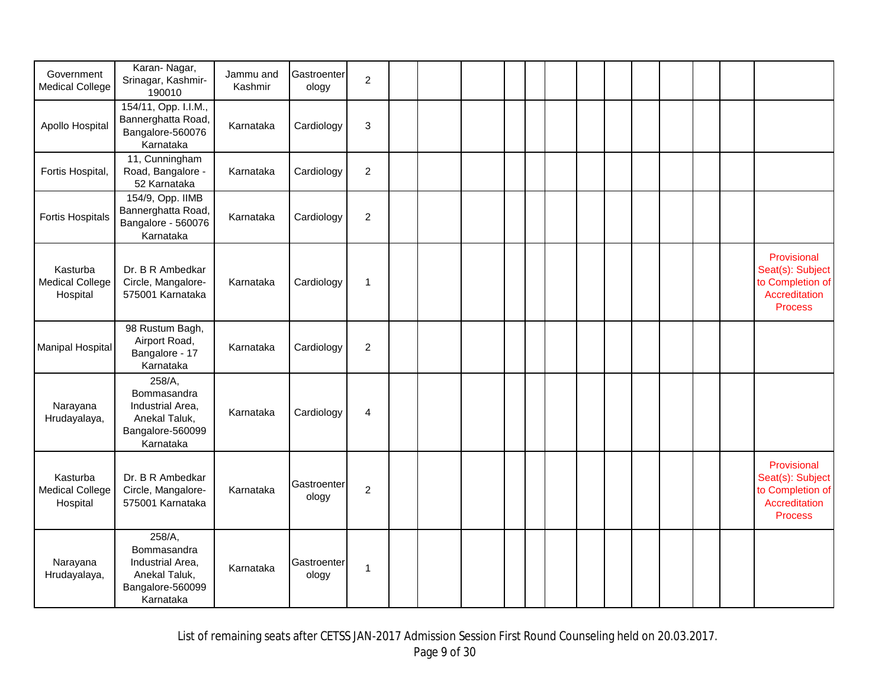| Government<br><b>Medical College</b>           | Karan-Nagar,<br>Srinagar, Kashmir-<br>190010                                                | Jammu and<br>Kashmir | Gastroenter<br>ology | $\overline{2}$   |  |  |  |  |  |  |                                                                                        |
|------------------------------------------------|---------------------------------------------------------------------------------------------|----------------------|----------------------|------------------|--|--|--|--|--|--|----------------------------------------------------------------------------------------|
| Apollo Hospital                                | 154/11, Opp. I.I.M.,<br>Bannerghatta Road,<br>Bangalore-560076<br>Karnataka                 | Karnataka            | Cardiology           | 3                |  |  |  |  |  |  |                                                                                        |
| Fortis Hospital,                               | 11, Cunningham<br>Road, Bangalore -<br>52 Karnataka                                         | Karnataka            | Cardiology           | $\overline{2}$   |  |  |  |  |  |  |                                                                                        |
| <b>Fortis Hospitals</b>                        | 154/9, Opp. IIMB<br>Bannerghatta Road,<br>Bangalore - 560076<br>Karnataka                   | Karnataka            | Cardiology           | $\boldsymbol{2}$ |  |  |  |  |  |  |                                                                                        |
| Kasturba<br><b>Medical College</b><br>Hospital | Dr. B R Ambedkar<br>Circle, Mangalore-<br>575001 Karnataka                                  | Karnataka            | Cardiology           | $\mathbf{1}$     |  |  |  |  |  |  | Provisional<br>Seat(s): Subject<br>to Completion of<br>Accreditation<br><b>Process</b> |
| <b>Manipal Hospital</b>                        | 98 Rustum Bagh,<br>Airport Road,<br>Bangalore - 17<br>Karnataka                             | Karnataka            | Cardiology           | $\overline{c}$   |  |  |  |  |  |  |                                                                                        |
| Narayana<br>Hrudayalaya,                       | 258/A,<br>Bommasandra<br>Industrial Area,<br>Anekal Taluk,<br>Bangalore-560099<br>Karnataka | Karnataka            | Cardiology           | $\overline{4}$   |  |  |  |  |  |  |                                                                                        |
| Kasturba<br><b>Medical College</b><br>Hospital | Dr. B R Ambedkar<br>Circle, Mangalore-<br>575001 Karnataka                                  | Karnataka            | Gastroenter<br>ology | $\overline{c}$   |  |  |  |  |  |  | Provisional<br>Seat(s): Subject<br>to Completion of<br>Accreditation<br><b>Process</b> |
| Narayana<br>Hrudayalaya,                       | 258/A,<br>Bommasandra<br>Industrial Area,<br>Anekal Taluk,<br>Bangalore-560099<br>Karnataka | Karnataka            | Gastroenter<br>ology | 1                |  |  |  |  |  |  |                                                                                        |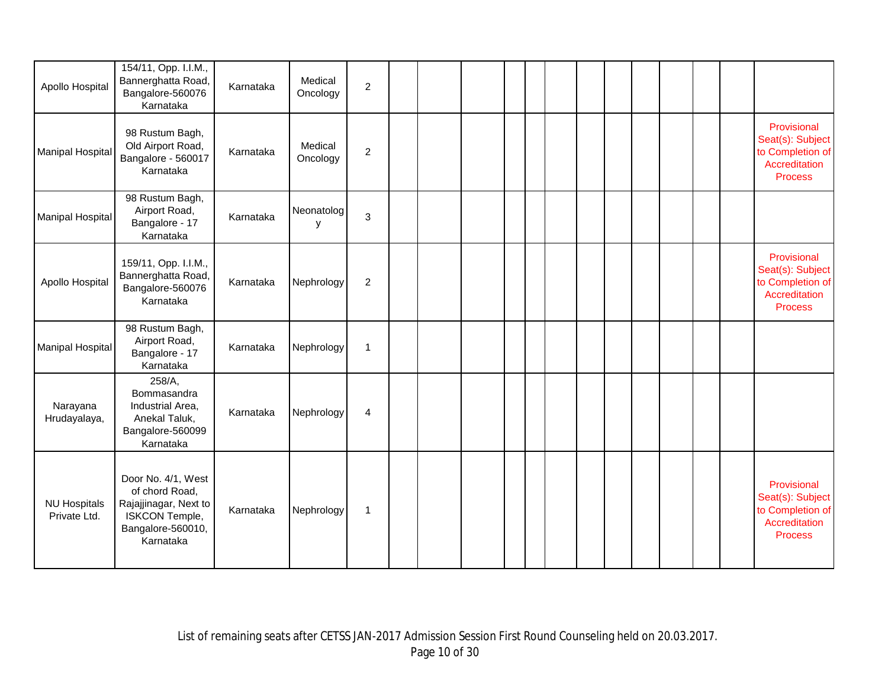| Apollo Hospital                     | 154/11, Opp. I.I.M.,<br>Bannerghatta Road,<br>Bangalore-560076<br>Karnataka                                       | Karnataka | Medical<br>Oncology | $\overline{c}$ |  |  |  |  |  |  |                                                                                        |
|-------------------------------------|-------------------------------------------------------------------------------------------------------------------|-----------|---------------------|----------------|--|--|--|--|--|--|----------------------------------------------------------------------------------------|
| <b>Manipal Hospital</b>             | 98 Rustum Bagh,<br>Old Airport Road,<br>Bangalore - 560017<br>Karnataka                                           | Karnataka | Medical<br>Oncology | $\overline{2}$ |  |  |  |  |  |  | Provisional<br>Seat(s): Subject<br>to Completion of<br>Accreditation<br><b>Process</b> |
| Manipal Hospital                    | 98 Rustum Bagh,<br>Airport Road,<br>Bangalore - 17<br>Karnataka                                                   | Karnataka | Neonatolog<br>y     | 3              |  |  |  |  |  |  |                                                                                        |
| Apollo Hospital                     | 159/11, Opp. I.I.M.,<br>Bannerghatta Road,<br>Bangalore-560076<br>Karnataka                                       | Karnataka | Nephrology          | $\overline{2}$ |  |  |  |  |  |  | Provisional<br>Seat(s): Subject<br>to Completion of<br>Accreditation<br><b>Process</b> |
| <b>Manipal Hospital</b>             | 98 Rustum Bagh,<br>Airport Road,<br>Bangalore - 17<br>Karnataka                                                   | Karnataka | Nephrology          | $\mathbf{1}$   |  |  |  |  |  |  |                                                                                        |
| Narayana<br>Hrudayalaya,            | 258/A,<br>Bommasandra<br>Industrial Area,<br>Anekal Taluk,<br>Bangalore-560099<br>Karnataka                       | Karnataka | Nephrology          | 4              |  |  |  |  |  |  |                                                                                        |
| <b>NU Hospitals</b><br>Private Ltd. | Door No. 4/1, West<br>of chord Road,<br>Rajajjinagar, Next to<br>ISKCON Temple,<br>Bangalore-560010,<br>Karnataka | Karnataka | Nephrology          | $\mathbf{1}$   |  |  |  |  |  |  | Provisional<br>Seat(s): Subject<br>to Completion of<br>Accreditation<br><b>Process</b> |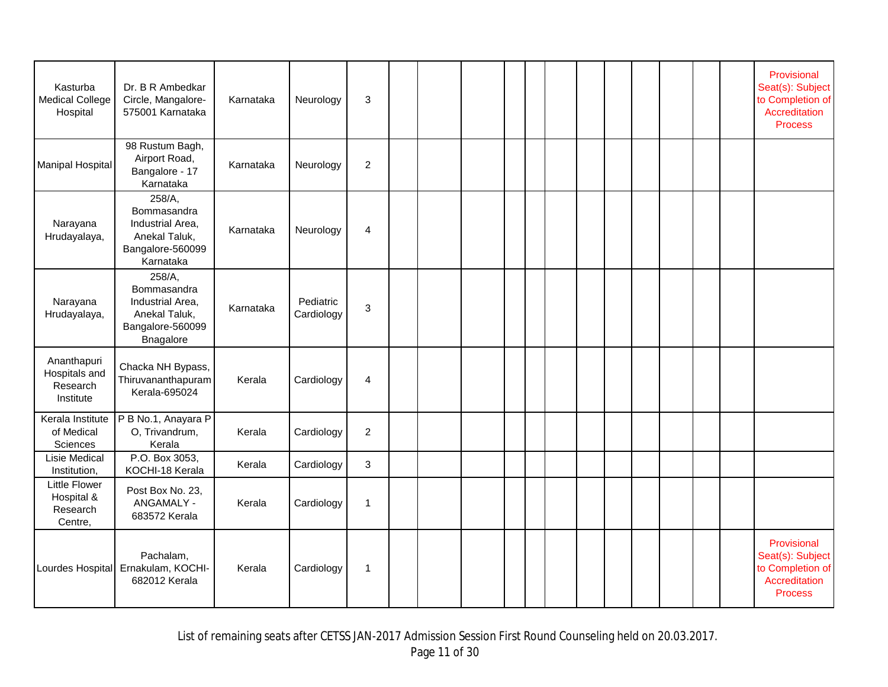| Kasturba<br><b>Medical College</b><br>Hospital            | Dr. B R Ambedkar<br>Circle, Mangalore-<br>575001 Karnataka                                  | Karnataka | Neurology               | 3              |  |  |  |  |  |  | Provisional<br>Seat(s): Subject<br>to Completion of<br>Accreditation<br><b>Process</b> |
|-----------------------------------------------------------|---------------------------------------------------------------------------------------------|-----------|-------------------------|----------------|--|--|--|--|--|--|----------------------------------------------------------------------------------------|
| Manipal Hospital                                          | 98 Rustum Bagh,<br>Airport Road,<br>Bangalore - 17<br>Karnataka                             | Karnataka | Neurology               | $\overline{c}$ |  |  |  |  |  |  |                                                                                        |
| Narayana<br>Hrudayalaya,                                  | 258/A,<br>Bommasandra<br>Industrial Area,<br>Anekal Taluk,<br>Bangalore-560099<br>Karnataka | Karnataka | Neurology               | 4              |  |  |  |  |  |  |                                                                                        |
| Narayana<br>Hrudayalaya,                                  | 258/A,<br>Bommasandra<br>Industrial Area,<br>Anekal Taluk,<br>Bangalore-560099<br>Bnagalore | Karnataka | Pediatric<br>Cardiology | 3              |  |  |  |  |  |  |                                                                                        |
| Ananthapuri<br>Hospitals and<br>Research<br>Institute     | Chacka NH Bypass,<br>Thiruvananthapuram<br>Kerala-695024                                    | Kerala    | Cardiology              | 4              |  |  |  |  |  |  |                                                                                        |
| Kerala Institute<br>of Medical<br>Sciences                | P B No.1, Anayara P<br>O, Trivandrum,<br>Kerala                                             | Kerala    | Cardiology              | $\overline{2}$ |  |  |  |  |  |  |                                                                                        |
| Lisie Medical<br>Institution,                             | P.O. Box 3053,<br>KOCHI-18 Kerala                                                           | Kerala    | Cardiology              | 3              |  |  |  |  |  |  |                                                                                        |
| <b>Little Flower</b><br>Hospital &<br>Research<br>Centre, | Post Box No. 23,<br>ANGAMALY -<br>683572 Kerala                                             | Kerala    | Cardiology              | $\mathbf 1$    |  |  |  |  |  |  |                                                                                        |
|                                                           | Pachalam,<br>Lourdes Hospital Ernakulam, KOCHI-<br>682012 Kerala                            | Kerala    | Cardiology              | $\mathbf{1}$   |  |  |  |  |  |  | Provisional<br>Seat(s): Subject<br>to Completion of<br>Accreditation<br><b>Process</b> |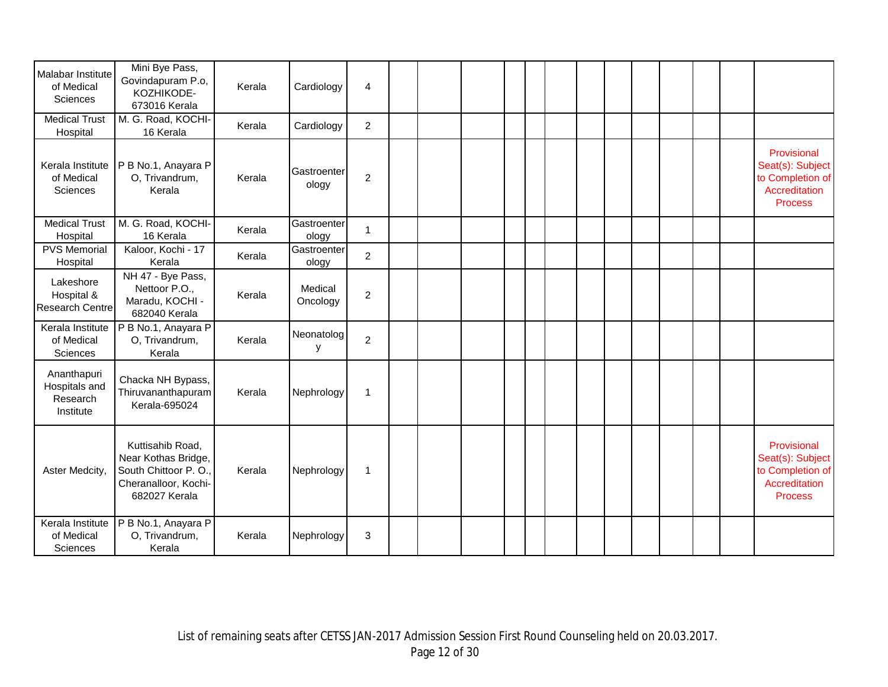| Malabar Institute<br>of Medical<br><b>Sciences</b><br><b>Medical Trust</b> | Mini Bye Pass,<br>Govindapuram P.o,<br>KOZHIKODE-<br>673016 Kerala<br>M. G. Road, KOCHI-                 | Kerala<br>Kerala | Cardiology<br>Cardiology | 4<br>$\overline{2}$ |  |  |  |  |  |  |                                                                                        |
|----------------------------------------------------------------------------|----------------------------------------------------------------------------------------------------------|------------------|--------------------------|---------------------|--|--|--|--|--|--|----------------------------------------------------------------------------------------|
| Hospital<br>Kerala Institute<br>of Medical<br>Sciences                     | 16 Kerala<br>P B No.1, Anayara P<br>O, Trivandrum,<br>Kerala                                             | Kerala           | Gastroenter<br>ology     | $\overline{2}$      |  |  |  |  |  |  | Provisional<br>Seat(s): Subject<br>to Completion of<br>Accreditation<br><b>Process</b> |
| <b>Medical Trust</b><br>Hospital                                           | M. G. Road, KOCHI-<br>16 Kerala                                                                          | Kerala           | Gastroenter<br>ology     | $\mathbf{1}$        |  |  |  |  |  |  |                                                                                        |
| <b>PVS Memorial</b><br>Hospital                                            | Kaloor, Kochi - 17<br>Kerala                                                                             | Kerala           | Gastroenter<br>ology     | $\overline{2}$      |  |  |  |  |  |  |                                                                                        |
| Lakeshore<br>Hospital &<br><b>Research Centre</b>                          | NH 47 - Bye Pass,<br>Nettoor P.O.,<br>Maradu, KOCHI -<br>682040 Kerala                                   | Kerala           | Medical<br>Oncology      | $\sqrt{2}$          |  |  |  |  |  |  |                                                                                        |
| Kerala Institute<br>of Medical<br>Sciences                                 | P B No.1, Anayara P<br>O, Trivandrum,<br>Kerala                                                          | Kerala           | Neonatolog<br>y          | $\overline{2}$      |  |  |  |  |  |  |                                                                                        |
| Ananthapuri<br>Hospitals and<br>Research<br>Institute                      | Chacka NH Bypass,<br>Thiruvananthapuram<br><b>Kerala-695024</b>                                          | Kerala           | Nephrology               | $\mathbf{1}$        |  |  |  |  |  |  |                                                                                        |
| Aster Medcity,                                                             | Kuttisahib Road,<br>Near Kothas Bridge,<br>South Chittoor P.O.,<br>Cheranalloor, Kochi-<br>682027 Kerala | Kerala           | Nephrology               | $\mathbf{1}$        |  |  |  |  |  |  | Provisional<br>Seat(s): Subject<br>to Completion of<br>Accreditation<br><b>Process</b> |
| Kerala Institute<br>of Medical<br>Sciences                                 | P B No.1, Anayara P<br>O, Trivandrum,<br>Kerala                                                          | Kerala           | Nephrology               | $\sqrt{3}$          |  |  |  |  |  |  |                                                                                        |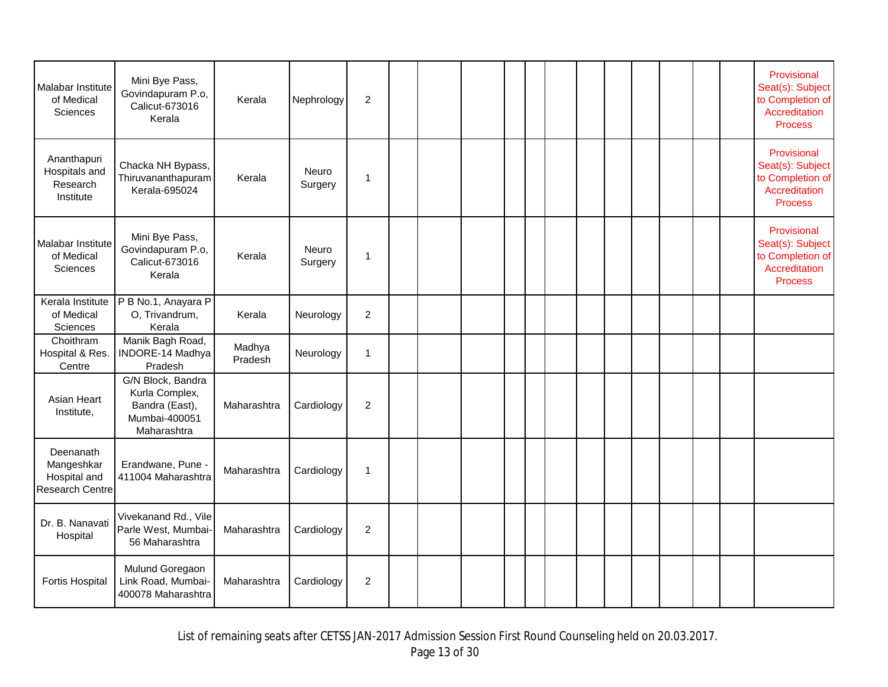| Malabar Institute<br>of Medical<br>Sciences                       | Mini Bye Pass,<br>Govindapuram P.o,<br>Calicut-673016<br>Kerala                       | Kerala            | Nephrology       | $\overline{2}$ |  |  |  |  |  |  | Provisional<br>Seat(s): Subject<br>to Completion of<br>Accreditation<br><b>Process</b> |
|-------------------------------------------------------------------|---------------------------------------------------------------------------------------|-------------------|------------------|----------------|--|--|--|--|--|--|----------------------------------------------------------------------------------------|
| Ananthapuri<br>Hospitals and<br>Research<br>Institute             | Chacka NH Bypass,<br>Thiruvananthapuram<br>Kerala-695024                              | Kerala            | Neuro<br>Surgery | 1              |  |  |  |  |  |  | Provisional<br>Seat(s): Subject<br>to Completion of<br>Accreditation<br><b>Process</b> |
| Malabar Institute<br>of Medical<br>Sciences                       | Mini Bye Pass,<br>Govindapuram P.o,<br>Calicut-673016<br>Kerala                       | Kerala            | Neuro<br>Surgery | 1              |  |  |  |  |  |  | Provisional<br>Seat(s): Subject<br>to Completion of<br>Accreditation<br><b>Process</b> |
| Kerala Institute<br>of Medical<br>Sciences                        | P B No.1, Anayara P<br>O, Trivandrum,<br>Kerala                                       | Kerala            | Neurology        | $\overline{2}$ |  |  |  |  |  |  |                                                                                        |
| Choithram<br>Hospital & Res.<br>Centre                            | Manik Bagh Road,<br>INDORE-14 Madhya<br>Pradesh                                       | Madhya<br>Pradesh | Neurology        | 1              |  |  |  |  |  |  |                                                                                        |
| Asian Heart<br>Institute,                                         | G/N Block, Bandra<br>Kurla Complex,<br>Bandra (East),<br>Mumbai-400051<br>Maharashtra | Maharashtra       | Cardiology       | $\overline{c}$ |  |  |  |  |  |  |                                                                                        |
| Deenanath<br>Mangeshkar<br>Hospital and<br><b>Research Centre</b> | Erandwane, Pune -<br>411004 Maharashtra                                               | Maharashtra       | Cardiology       | $\mathbf{1}$   |  |  |  |  |  |  |                                                                                        |
| Dr. B. Nanavati<br>Hospital                                       | Vivekanand Rd., Vile<br>Parle West, Mumbai-<br>56 Maharashtra                         | Maharashtra       | Cardiology       | $\overline{c}$ |  |  |  |  |  |  |                                                                                        |
| <b>Fortis Hospital</b>                                            | Mulund Goregaon<br>Link Road, Mumbai-<br>400078 Maharashtra                           | Maharashtra       | Cardiology       | $\overline{c}$ |  |  |  |  |  |  |                                                                                        |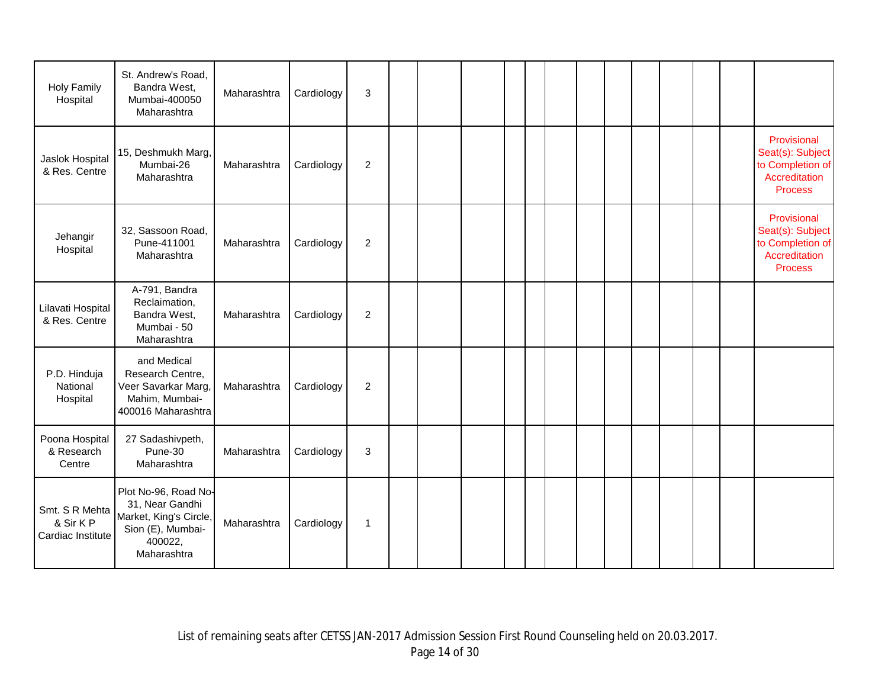| <b>Holy Family</b><br>Hospital                  | St. Andrew's Road,<br>Bandra West,<br>Mumbai-400050<br>Maharashtra                                               | Maharashtra | Cardiology | 3                |  |  |  |  |  |  |                                                                                        |
|-------------------------------------------------|------------------------------------------------------------------------------------------------------------------|-------------|------------|------------------|--|--|--|--|--|--|----------------------------------------------------------------------------------------|
| Jaslok Hospital<br>& Res. Centre                | 15, Deshmukh Marg,<br>Mumbai-26<br>Maharashtra                                                                   | Maharashtra | Cardiology | $\overline{2}$   |  |  |  |  |  |  | Provisional<br>Seat(s): Subject<br>to Completion of<br>Accreditation<br><b>Process</b> |
| Jehangir<br>Hospital                            | 32, Sassoon Road,<br>Pune-411001<br>Maharashtra                                                                  | Maharashtra | Cardiology | $\boldsymbol{2}$ |  |  |  |  |  |  | Provisional<br>Seat(s): Subject<br>to Completion of<br>Accreditation<br><b>Process</b> |
| Lilavati Hospital<br>& Res. Centre              | A-791, Bandra<br>Reclaimation,<br>Bandra West,<br>Mumbai - 50<br>Maharashtra                                     | Maharashtra | Cardiology | 2                |  |  |  |  |  |  |                                                                                        |
| P.D. Hinduja<br>National<br>Hospital            | and Medical<br>Research Centre,<br>Veer Savarkar Marg,<br>Mahim, Mumbai-<br>400016 Maharashtra                   | Maharashtra | Cardiology | $\overline{c}$   |  |  |  |  |  |  |                                                                                        |
| Poona Hospital<br>& Research<br>Centre          | 27 Sadashivpeth,<br>Pune-30<br>Maharashtra                                                                       | Maharashtra | Cardiology | $\mathbf{3}$     |  |  |  |  |  |  |                                                                                        |
| Smt. S R Mehta<br>& Sir KP<br>Cardiac Institute | Plot No-96, Road No-<br>31, Near Gandhi<br>Market, King's Circle,<br>Sion (E), Mumbai-<br>400022,<br>Maharashtra | Maharashtra | Cardiology | $\mathbf{1}$     |  |  |  |  |  |  |                                                                                        |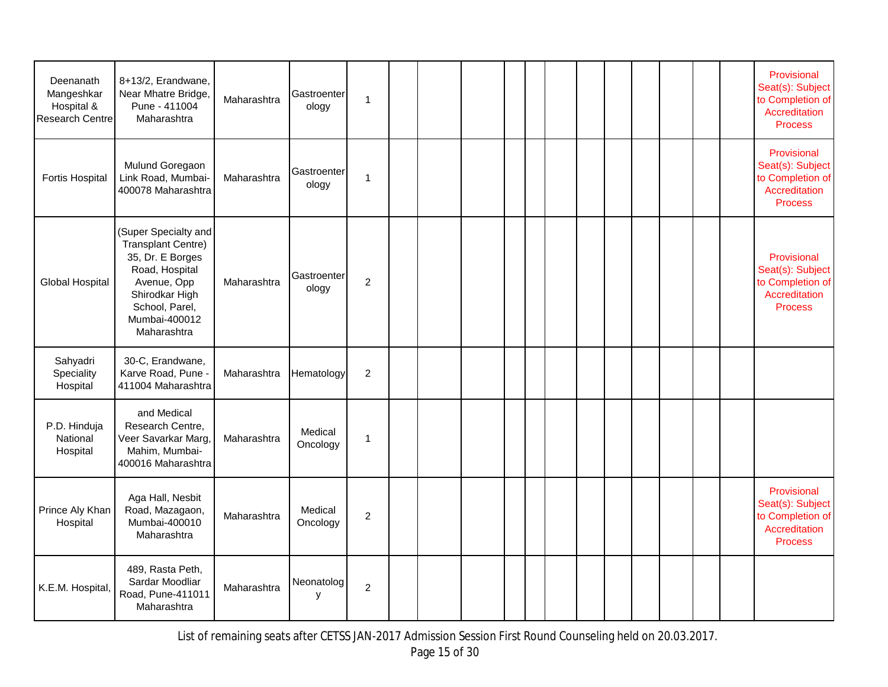| Deenanath<br>Mangeshkar<br>Hospital &<br><b>Research Centre</b> | 8+13/2, Erandwane,<br>Near Mhatre Bridge,<br>Pune - 411004<br>Maharashtra                                                                                                  | Maharashtra | Gastroenter<br>ology | $\mathbf{1}$     |  |  |  |  |  |  | Provisional<br>Seat(s): Subject<br>to Completion of<br>Accreditation<br><b>Process</b> |
|-----------------------------------------------------------------|----------------------------------------------------------------------------------------------------------------------------------------------------------------------------|-------------|----------------------|------------------|--|--|--|--|--|--|----------------------------------------------------------------------------------------|
| <b>Fortis Hospital</b>                                          | Mulund Goregaon<br>Link Road, Mumbai-<br>400078 Maharashtra                                                                                                                | Maharashtra | Gastroenter<br>ology | $\overline{1}$   |  |  |  |  |  |  | Provisional<br>Seat(s): Subject<br>to Completion of<br>Accreditation<br><b>Process</b> |
| <b>Global Hospital</b>                                          | (Super Specialty and<br><b>Transplant Centre)</b><br>35, Dr. E Borges<br>Road, Hospital<br>Avenue, Opp<br>Shirodkar High<br>School, Parel,<br>Mumbai-400012<br>Maharashtra | Maharashtra | Gastroenter<br>ology | $\overline{c}$   |  |  |  |  |  |  | Provisional<br>Seat(s): Subject<br>to Completion of<br>Accreditation<br><b>Process</b> |
| Sahyadri<br>Speciality<br>Hospital                              | 30-C, Erandwane,<br>Karve Road, Pune -<br>411004 Maharashtra                                                                                                               | Maharashtra | Hematology           | $\boldsymbol{2}$ |  |  |  |  |  |  |                                                                                        |
| P.D. Hinduja<br>National<br>Hospital                            | and Medical<br>Research Centre,<br>Veer Savarkar Marg,<br>Mahim, Mumbai-<br>400016 Maharashtra                                                                             | Maharashtra | Medical<br>Oncology  | $\mathbf{1}$     |  |  |  |  |  |  |                                                                                        |
| Prince Aly Khan<br>Hospital                                     | Aga Hall, Nesbit<br>Road, Mazagaon,<br>Mumbai-400010<br>Maharashtra                                                                                                        | Maharashtra | Medical<br>Oncology  | $\overline{2}$   |  |  |  |  |  |  | Provisional<br>Seat(s): Subject<br>to Completion of<br>Accreditation<br><b>Process</b> |
| K.E.M. Hospital,                                                | 489, Rasta Peth,<br>Sardar Moodliar<br>Road, Pune-411011<br>Maharashtra                                                                                                    | Maharashtra | Neonatolog<br>y      | $\overline{c}$   |  |  |  |  |  |  |                                                                                        |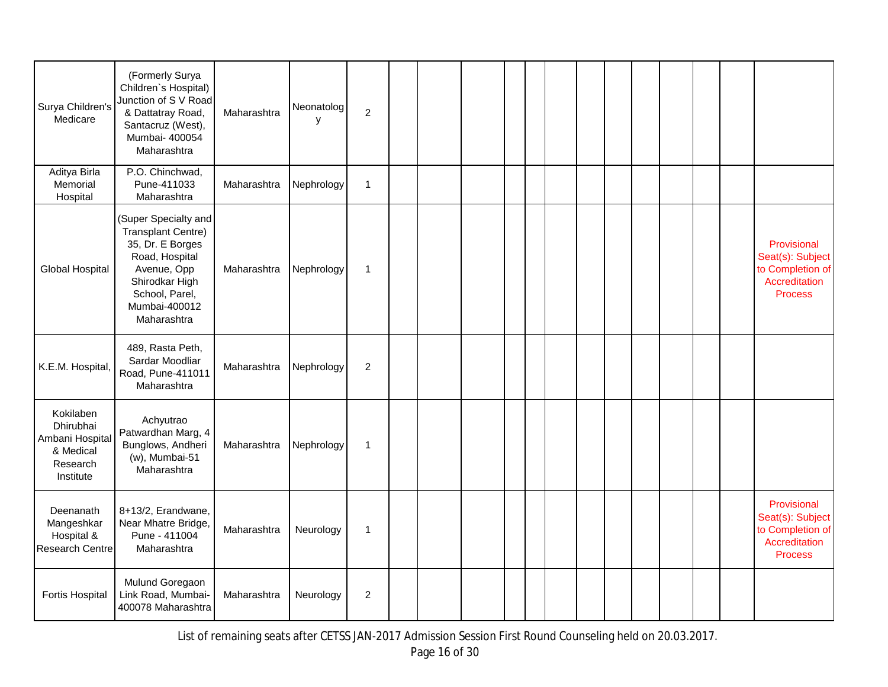| Surya Children's<br>Medicare                                                    | (Formerly Surya<br>Children's Hospital)<br>Junction of S V Road<br>& Dattatray Road,<br>Santacruz (West),<br>Mumbai- 400054<br>Maharashtra                                 | Maharashtra | Neonatolog<br>y | $\overline{2}$   |  |  |  |  |  |  |                                                                                        |
|---------------------------------------------------------------------------------|----------------------------------------------------------------------------------------------------------------------------------------------------------------------------|-------------|-----------------|------------------|--|--|--|--|--|--|----------------------------------------------------------------------------------------|
| Aditya Birla<br>Memorial<br>Hospital                                            | P.O. Chinchwad,<br>Pune-411033<br>Maharashtra                                                                                                                              | Maharashtra | Nephrology      | $\mathbf{1}$     |  |  |  |  |  |  |                                                                                        |
| <b>Global Hospital</b>                                                          | (Super Specialty and<br><b>Transplant Centre)</b><br>35, Dr. E Borges<br>Road, Hospital<br>Avenue, Opp<br>Shirodkar High<br>School, Parel,<br>Mumbai-400012<br>Maharashtra | Maharashtra | Nephrology      | $\mathbf{1}$     |  |  |  |  |  |  | Provisional<br>Seat(s): Subject<br>to Completion of<br>Accreditation<br><b>Process</b> |
| K.E.M. Hospital,                                                                | 489, Rasta Peth,<br>Sardar Moodliar<br>Road, Pune-411011<br>Maharashtra                                                                                                    | Maharashtra | Nephrology      | $\overline{2}$   |  |  |  |  |  |  |                                                                                        |
| Kokilaben<br>Dhirubhai<br>Ambani Hospital<br>& Medical<br>Research<br>Institute | Achyutrao<br>Patwardhan Marg, 4<br>Bunglows, Andheri<br>$(w)$ , Mumbai-51<br>Maharashtra                                                                                   | Maharashtra | Nephrology      | $\mathbf{1}$     |  |  |  |  |  |  |                                                                                        |
| Deenanath<br>Mangeshkar<br>Hospital &<br>Research Centre                        | 8+13/2, Erandwane,<br>Near Mhatre Bridge,<br>Pune - 411004<br>Maharashtra                                                                                                  | Maharashtra | Neurology       | $\mathbf{1}$     |  |  |  |  |  |  | Provisional<br>Seat(s): Subject<br>to Completion of<br>Accreditation<br><b>Process</b> |
| <b>Fortis Hospital</b>                                                          | Mulund Goregaon<br>Link Road, Mumbai-<br>400078 Maharashtra                                                                                                                | Maharashtra | Neurology       | $\boldsymbol{2}$ |  |  |  |  |  |  |                                                                                        |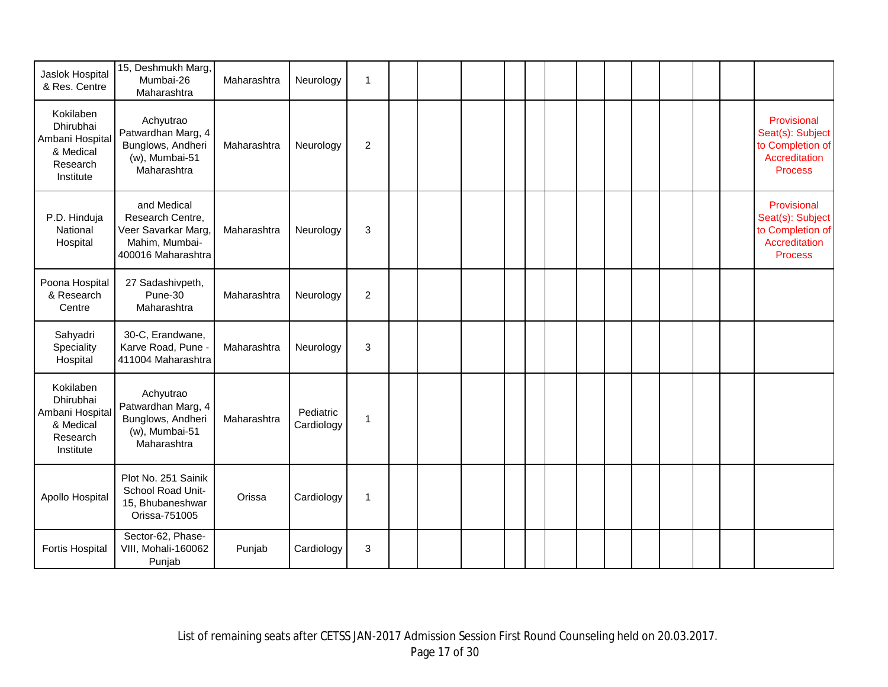| Jaslok Hospital<br>& Res. Centre                                                | 15, Deshmukh Marg,<br>Mumbai-26<br>Maharashtra                                                 | Maharashtra | Neurology               | 1              |  |  |  |  |  |  |                                                                                        |
|---------------------------------------------------------------------------------|------------------------------------------------------------------------------------------------|-------------|-------------------------|----------------|--|--|--|--|--|--|----------------------------------------------------------------------------------------|
| Kokilaben<br>Dhirubhai<br>Ambani Hospital<br>& Medical<br>Research<br>Institute | Achyutrao<br>Patwardhan Marg, 4<br>Bunglows, Andheri<br>$(w)$ , Mumbai-51<br>Maharashtra       | Maharashtra | Neurology               | $\overline{2}$ |  |  |  |  |  |  | Provisional<br>Seat(s): Subject<br>to Completion of<br>Accreditation<br><b>Process</b> |
| P.D. Hinduja<br>National<br>Hospital                                            | and Medical<br>Research Centre,<br>Veer Savarkar Marg,<br>Mahim, Mumbai-<br>400016 Maharashtra | Maharashtra | Neurology               | 3              |  |  |  |  |  |  | Provisional<br>Seat(s): Subject<br>to Completion of<br>Accreditation<br><b>Process</b> |
| Poona Hospital<br>& Research<br>Centre                                          | 27 Sadashivpeth,<br>Pune-30<br>Maharashtra                                                     | Maharashtra | Neurology               | $\sqrt{2}$     |  |  |  |  |  |  |                                                                                        |
| Sahyadri<br>Speciality<br>Hospital                                              | 30-C, Erandwane,<br>Karve Road, Pune -<br>411004 Maharashtra                                   | Maharashtra | Neurology               | 3              |  |  |  |  |  |  |                                                                                        |
| Kokilaben<br>Dhirubhai<br>Ambani Hospital<br>& Medical<br>Research<br>Institute | Achyutrao<br>Patwardhan Marg, 4<br>Bunglows, Andheri<br>$(w)$ , Mumbai-51<br>Maharashtra       | Maharashtra | Pediatric<br>Cardiology | 1              |  |  |  |  |  |  |                                                                                        |
| Apollo Hospital                                                                 | Plot No. 251 Sainik<br>School Road Unit-<br>15, Bhubaneshwar<br>Orissa-751005                  | Orissa      | Cardiology              | $\overline{1}$ |  |  |  |  |  |  |                                                                                        |
| <b>Fortis Hospital</b>                                                          | Sector-62, Phase-<br>VIII, Mohali-160062<br>Punjab                                             | Punjab      | Cardiology              | 3              |  |  |  |  |  |  |                                                                                        |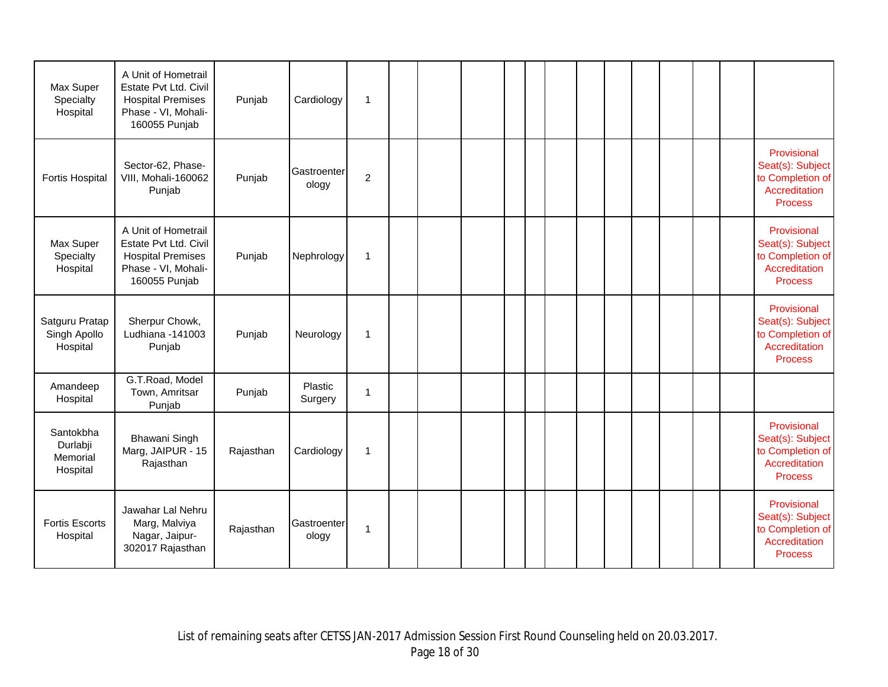| Max Super<br>Specialty<br>Hospital            | A Unit of Hometrail<br>Estate Pvt Ltd. Civil<br><b>Hospital Premises</b><br>Phase - VI, Mohali-<br>160055 Punjab | Punjab    | Cardiology           | $\mathbf{1}$   |  |  |  |  |  |  |                                                                                        |
|-----------------------------------------------|------------------------------------------------------------------------------------------------------------------|-----------|----------------------|----------------|--|--|--|--|--|--|----------------------------------------------------------------------------------------|
| <b>Fortis Hospital</b>                        | Sector-62, Phase-<br>VIII, Mohali-160062<br>Punjab                                                               | Punjab    | Gastroenter<br>ology | $\overline{c}$ |  |  |  |  |  |  | Provisional<br>Seat(s): Subject<br>to Completion of<br>Accreditation<br><b>Process</b> |
| Max Super<br>Specialty<br>Hospital            | A Unit of Hometrail<br>Estate Pvt Ltd. Civil<br><b>Hospital Premises</b><br>Phase - VI, Mohali-<br>160055 Punjab | Punjab    | Nephrology           | $\mathbf{1}$   |  |  |  |  |  |  | Provisional<br>Seat(s): Subject<br>to Completion of<br>Accreditation<br><b>Process</b> |
| Satguru Pratap<br>Singh Apollo<br>Hospital    | Sherpur Chowk,<br>Ludhiana -141003<br>Punjab                                                                     | Punjab    | Neurology            | 1              |  |  |  |  |  |  | Provisional<br>Seat(s): Subject<br>to Completion of<br>Accreditation<br><b>Process</b> |
| Amandeep<br>Hospital                          | G.T.Road, Model<br>Town, Amritsar<br>Punjab                                                                      | Punjab    | Plastic<br>Surgery   | 1              |  |  |  |  |  |  |                                                                                        |
| Santokbha<br>Durlabji<br>Memorial<br>Hospital | Bhawani Singh<br>Marg, JAIPUR - 15<br>Rajasthan                                                                  | Rajasthan | Cardiology           | 1              |  |  |  |  |  |  | Provisional<br>Seat(s): Subject<br>to Completion of<br>Accreditation<br><b>Process</b> |
| <b>Fortis Escorts</b><br>Hospital             | Jawahar Lal Nehru<br>Marg, Malviya<br>Nagar, Jaipur-<br>302017 Rajasthan                                         | Rajasthan | Gastroenter<br>ology | 1              |  |  |  |  |  |  | Provisional<br>Seat(s): Subject<br>to Completion of<br>Accreditation<br><b>Process</b> |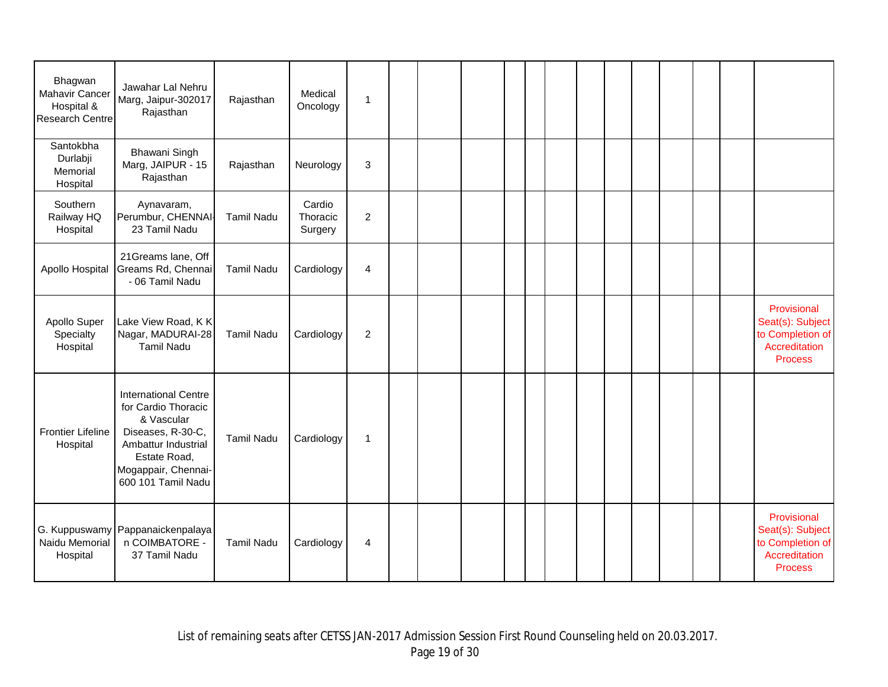| Bhagwan<br>Mahavir Cancer<br>Hospital &<br><b>Research Centre</b> | Jawahar Lal Nehru<br>Marg, Jaipur-302017<br>Rajasthan                                                                                                                     | Rajasthan         | Medical<br>Oncology           | $\mathbf{1}$   |  |  |  |  |  |  |                                                                                        |
|-------------------------------------------------------------------|---------------------------------------------------------------------------------------------------------------------------------------------------------------------------|-------------------|-------------------------------|----------------|--|--|--|--|--|--|----------------------------------------------------------------------------------------|
| Santokbha<br>Durlabji<br>Memorial<br>Hospital                     | Bhawani Singh<br>Marg, JAIPUR - 15<br>Rajasthan                                                                                                                           | Rajasthan         | Neurology                     | $\sqrt{3}$     |  |  |  |  |  |  |                                                                                        |
| Southern<br>Railway HQ<br>Hospital                                | Aynavaram,<br>Perumbur, CHENNAI-<br>23 Tamil Nadu                                                                                                                         | <b>Tamil Nadu</b> | Cardio<br>Thoracic<br>Surgery | $\overline{c}$ |  |  |  |  |  |  |                                                                                        |
| Apollo Hospital                                                   | 21Greams lane, Off<br>Greams Rd, Chennai<br>- 06 Tamil Nadu                                                                                                               | <b>Tamil Nadu</b> | Cardiology                    | $\overline{4}$ |  |  |  |  |  |  |                                                                                        |
| Apollo Super<br>Specialty<br>Hospital                             | Lake View Road, KK<br>Nagar, MADURAI-28<br><b>Tamil Nadu</b>                                                                                                              | <b>Tamil Nadu</b> | Cardiology                    | $\sqrt{2}$     |  |  |  |  |  |  | Provisional<br>Seat(s): Subject<br>to Completion of<br>Accreditation<br><b>Process</b> |
| <b>Frontier Lifeline</b><br>Hospital                              | <b>International Centre</b><br>for Cardio Thoracic<br>& Vascular<br>Diseases, R-30-C,<br>Ambattur Industrial<br>Estate Road,<br>Mogappair, Chennai-<br>600 101 Tamil Nadu | <b>Tamil Nadu</b> | Cardiology                    | $\mathbf{1}$   |  |  |  |  |  |  |                                                                                        |
| Naidu Memorial<br>Hospital                                        | G. Kuppuswamy Pappanaickenpalaya<br>n COIMBATORE -<br>37 Tamil Nadu                                                                                                       | <b>Tamil Nadu</b> | Cardiology                    | 4              |  |  |  |  |  |  | Provisional<br>Seat(s): Subject<br>to Completion of<br>Accreditation<br><b>Process</b> |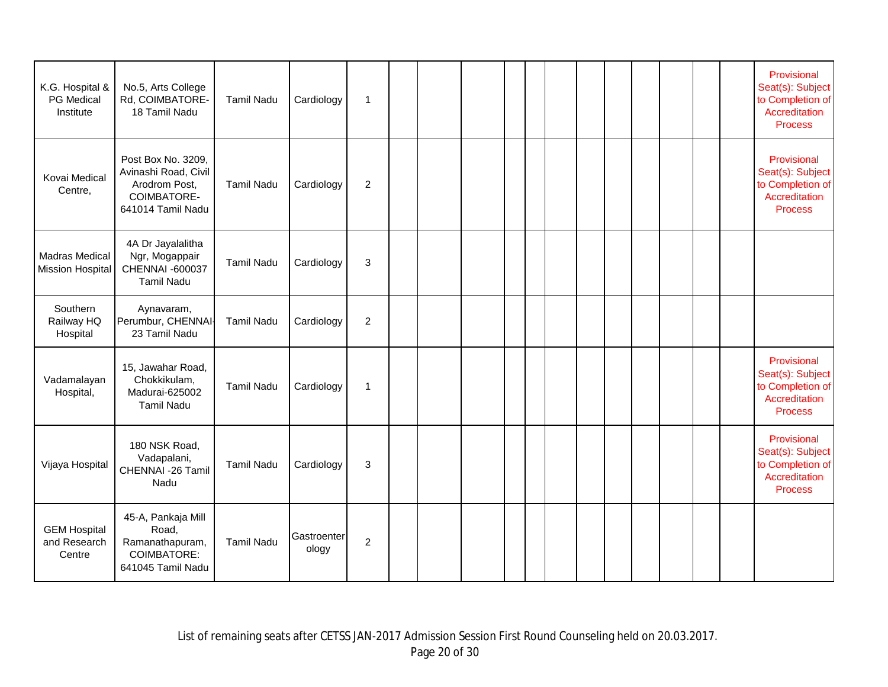| K.G. Hospital &<br>PG Medical<br>Institute       | No.5, Arts College<br>Rd, COIMBATORE-<br>18 Tamil Nadu                                          | <b>Tamil Nadu</b> | Cardiology           | $\overline{1}$ |  |  |  |  |  |  | Provisional<br>Seat(s): Subject<br>to Completion of<br>Accreditation<br><b>Process</b> |
|--------------------------------------------------|-------------------------------------------------------------------------------------------------|-------------------|----------------------|----------------|--|--|--|--|--|--|----------------------------------------------------------------------------------------|
| Kovai Medical<br>Centre,                         | Post Box No. 3209,<br>Avinashi Road, Civil<br>Arodrom Post,<br>COIMBATORE-<br>641014 Tamil Nadu | <b>Tamil Nadu</b> | Cardiology           | $\overline{2}$ |  |  |  |  |  |  | Provisional<br>Seat(s): Subject<br>to Completion of<br>Accreditation<br><b>Process</b> |
| <b>Madras Medical</b><br><b>Mission Hospital</b> | 4A Dr Jayalalitha<br>Ngr, Mogappair<br>CHENNAI -600037<br><b>Tamil Nadu</b>                     | <b>Tamil Nadu</b> | Cardiology           | $\mathbf{3}$   |  |  |  |  |  |  |                                                                                        |
| Southern<br>Railway HQ<br>Hospital               | Aynavaram,<br>Perumbur, CHENNAI-<br>23 Tamil Nadu                                               | <b>Tamil Nadu</b> | Cardiology           | $\overline{2}$ |  |  |  |  |  |  |                                                                                        |
| Vadamalayan<br>Hospital,                         | 15, Jawahar Road,<br>Chokkikulam,<br>Madurai-625002<br><b>Tamil Nadu</b>                        | <b>Tamil Nadu</b> | Cardiology           | $\mathbf{1}$   |  |  |  |  |  |  | Provisional<br>Seat(s): Subject<br>to Completion of<br>Accreditation<br><b>Process</b> |
| Vijaya Hospital                                  | 180 NSK Road,<br>Vadapalani,<br>CHENNAI -26 Tamil<br>Nadu                                       | <b>Tamil Nadu</b> | Cardiology           | 3              |  |  |  |  |  |  | Provisional<br>Seat(s): Subject<br>to Completion of<br>Accreditation<br><b>Process</b> |
| <b>GEM Hospital</b><br>and Research<br>Centre    | 45-A, Pankaja Mill<br>Road,<br>Ramanathapuram,<br>COIMBATORE:<br>641045 Tamil Nadu              | <b>Tamil Nadu</b> | Gastroenter<br>ology | $\overline{2}$ |  |  |  |  |  |  |                                                                                        |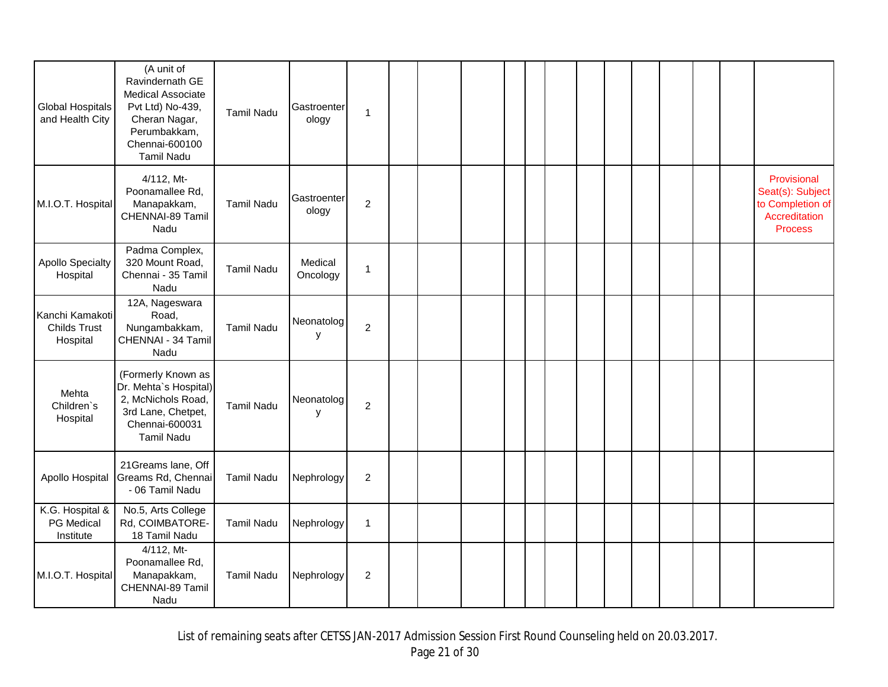| <b>Global Hospitals</b><br>and Health City         | (A unit of<br>Ravindernath GE<br>Medical Associate<br>Pvt Ltd) No-439,<br>Cheran Nagar,<br>Perumbakkam,<br>Chennai-600100<br><b>Tamil Nadu</b> | <b>Tamil Nadu</b> | Gastroenter<br>ology | 1              |  |  |  |  |  |  |                                                                                        |
|----------------------------------------------------|------------------------------------------------------------------------------------------------------------------------------------------------|-------------------|----------------------|----------------|--|--|--|--|--|--|----------------------------------------------------------------------------------------|
| M.I.O.T. Hospital                                  | 4/112, Mt-<br>Poonamallee Rd,<br>Manapakkam,<br>CHENNAI-89 Tamil<br>Nadu                                                                       | Tamil Nadu        | Gastroenter<br>ology | $\overline{c}$ |  |  |  |  |  |  | Provisional<br>Seat(s): Subject<br>to Completion of<br>Accreditation<br><b>Process</b> |
| <b>Apollo Specialty</b><br>Hospital                | Padma Complex,<br>320 Mount Road,<br>Chennai - 35 Tamil<br>Nadu                                                                                | <b>Tamil Nadu</b> | Medical<br>Oncology  | $\mathbf 1$    |  |  |  |  |  |  |                                                                                        |
| Kanchi Kamakoti<br><b>Childs Trust</b><br>Hospital | 12A, Nageswara<br>Road,<br>Nungambakkam,<br>CHENNAI - 34 Tamil<br>Nadu                                                                         | <b>Tamil Nadu</b> | Neonatolog<br>у      | $\overline{2}$ |  |  |  |  |  |  |                                                                                        |
| Mehta<br>Children's<br>Hospital                    | (Formerly Known as<br>Dr. Mehta's Hospital)<br>2, McNichols Road,<br>3rd Lane, Chetpet,<br>Chennai-600031<br><b>Tamil Nadu</b>                 | <b>Tamil Nadu</b> | Neonatolog<br>y      | $\overline{c}$ |  |  |  |  |  |  |                                                                                        |
| Apollo Hospital                                    | 21 Greams lane, Off<br>Greams Rd, Chennai<br>- 06 Tamil Nadu                                                                                   | <b>Tamil Nadu</b> | Nephrology           | $\overline{2}$ |  |  |  |  |  |  |                                                                                        |
| K.G. Hospital &<br>PG Medical<br>Institute         | No.5, Arts College<br>Rd, COIMBATORE-<br>18 Tamil Nadu                                                                                         | <b>Tamil Nadu</b> | Nephrology           | $\mathbf{1}$   |  |  |  |  |  |  |                                                                                        |
| M.I.O.T. Hospital                                  | 4/112, Mt-<br>Poonamallee Rd,<br>Manapakkam,<br>CHENNAI-89 Tamil<br>Nadu                                                                       | <b>Tamil Nadu</b> | Nephrology           | $\overline{2}$ |  |  |  |  |  |  |                                                                                        |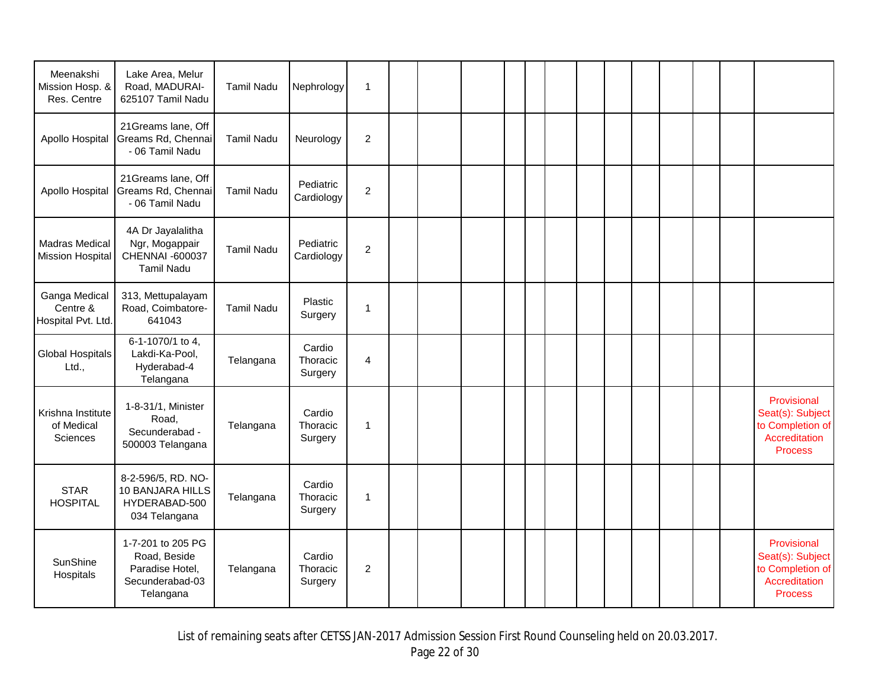| Meenakshi<br>Mission Hosp. &<br>Res. Centre     | Lake Area, Melur<br>Road, MADURAI-<br>625107 Tamil Nadu                              | <b>Tamil Nadu</b> | Nephrology                    | $\mathbf{1}$   |  |  |  |  |  |  |                                                                                        |
|-------------------------------------------------|--------------------------------------------------------------------------------------|-------------------|-------------------------------|----------------|--|--|--|--|--|--|----------------------------------------------------------------------------------------|
| Apollo Hospital                                 | 21Greams lane, Off<br>Greams Rd, Chennai<br>- 06 Tamil Nadu                          | <b>Tamil Nadu</b> | Neurology                     | $\overline{c}$ |  |  |  |  |  |  |                                                                                        |
| Apollo Hospital                                 | 21Greams lane, Off<br>Greams Rd, Chennai<br>- 06 Tamil Nadu                          | <b>Tamil Nadu</b> | Pediatric<br>Cardiology       | $\overline{2}$ |  |  |  |  |  |  |                                                                                        |
| Madras Medical<br>Mission Hospital              | 4A Dr Jayalalitha<br>Ngr, Mogappair<br>CHENNAI -600037<br><b>Tamil Nadu</b>          | <b>Tamil Nadu</b> | Pediatric<br>Cardiology       | $\overline{2}$ |  |  |  |  |  |  |                                                                                        |
| Ganga Medical<br>Centre &<br>Hospital Pvt. Ltd. | 313, Mettupalayam<br>Road, Coimbatore-<br>641043                                     | <b>Tamil Nadu</b> | Plastic<br>Surgery            | $\mathbf{1}$   |  |  |  |  |  |  |                                                                                        |
| <b>Global Hospitals</b><br>Ltd.,                | 6-1-1070/1 to 4,<br>Lakdi-Ka-Pool,<br>Hyderabad-4<br>Telangana                       | Telangana         | Cardio<br>Thoracic<br>Surgery | $\overline{4}$ |  |  |  |  |  |  |                                                                                        |
| Krishna Institute<br>of Medical<br>Sciences     | 1-8-31/1, Minister<br>Road,<br>Secunderabad -<br>500003 Telangana                    | Telangana         | Cardio<br>Thoracic<br>Surgery | $\mathbf{1}$   |  |  |  |  |  |  | Provisional<br>Seat(s): Subject<br>to Completion of<br>Accreditation<br><b>Process</b> |
| <b>STAR</b><br><b>HOSPITAL</b>                  | 8-2-596/5, RD. NO-<br>10 BANJARA HILLS<br>HYDERABAD-500<br>034 Telangana             | Telangana         | Cardio<br>Thoracic<br>Surgery | $\mathbf{1}$   |  |  |  |  |  |  |                                                                                        |
| SunShine<br>Hospitals                           | 1-7-201 to 205 PG<br>Road, Beside<br>Paradise Hotel,<br>Secunderabad-03<br>Telangana | Telangana         | Cardio<br>Thoracic<br>Surgery | $\overline{c}$ |  |  |  |  |  |  | Provisional<br>Seat(s): Subject<br>to Completion of<br>Accreditation<br><b>Process</b> |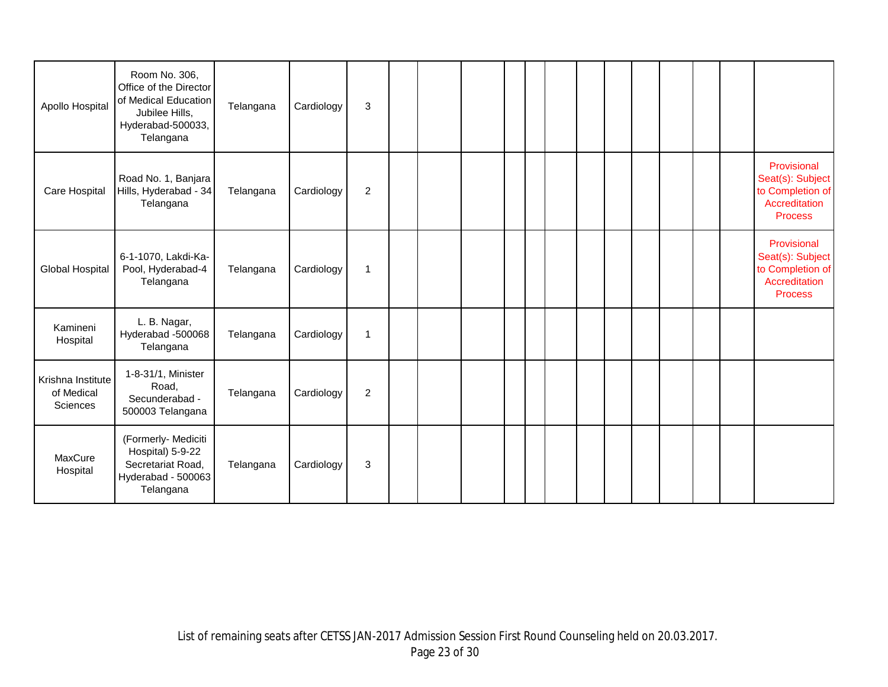| Apollo Hospital                             | Room No. 306,<br>Office of the Director<br>of Medical Education<br>Jubilee Hills,<br>Hyderabad-500033,<br>Telangana | Telangana | Cardiology | 3              |  |  |  |  |  |  |                                                                                        |
|---------------------------------------------|---------------------------------------------------------------------------------------------------------------------|-----------|------------|----------------|--|--|--|--|--|--|----------------------------------------------------------------------------------------|
| Care Hospital                               | Road No. 1, Banjara<br>Hills, Hyderabad - 34<br>Telangana                                                           | Telangana | Cardiology | $\overline{c}$ |  |  |  |  |  |  | Provisional<br>Seat(s): Subject<br>to Completion of<br>Accreditation<br><b>Process</b> |
| Global Hospital                             | 6-1-1070, Lakdi-Ka-<br>Pool, Hyderabad-4<br>Telangana                                                               | Telangana | Cardiology | $\mathbf{1}$   |  |  |  |  |  |  | Provisional<br>Seat(s): Subject<br>to Completion of<br>Accreditation<br><b>Process</b> |
| Kamineni<br>Hospital                        | L. B. Nagar,<br>Hyderabad -500068<br>Telangana                                                                      | Telangana | Cardiology | $\mathbf{1}$   |  |  |  |  |  |  |                                                                                        |
| Krishna Institute<br>of Medical<br>Sciences | 1-8-31/1, Minister<br>Road,<br>Secunderabad -<br>500003 Telangana                                                   | Telangana | Cardiology | $\overline{2}$ |  |  |  |  |  |  |                                                                                        |
| MaxCure<br>Hospital                         | (Formerly- Mediciti<br>Hospital) 5-9-22<br>Secretariat Road,<br>Hyderabad - 500063<br>Telangana                     | Telangana | Cardiology | 3              |  |  |  |  |  |  |                                                                                        |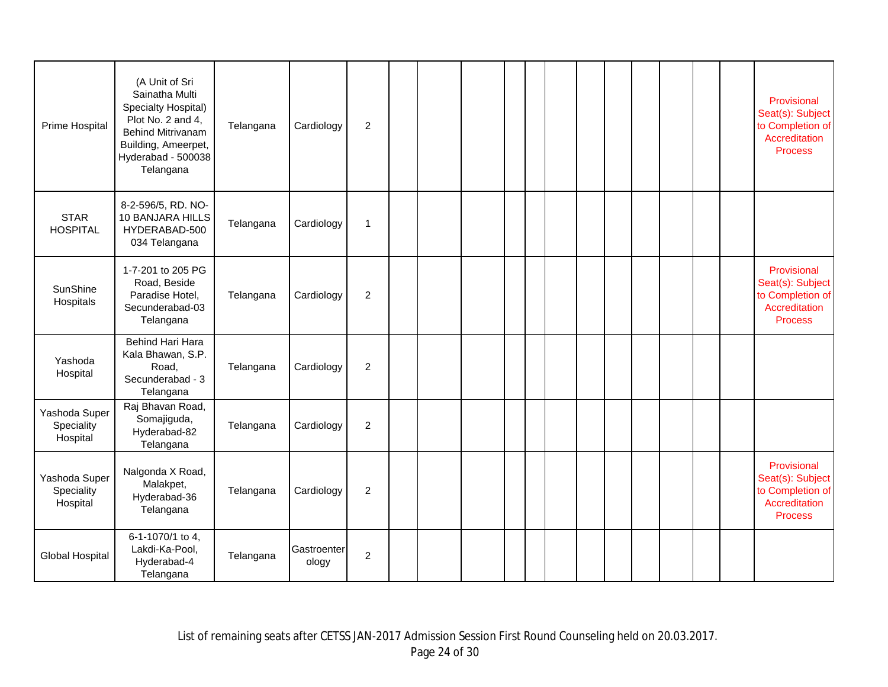| Prime Hospital                          | (A Unit of Sri<br>Sainatha Multi<br>Specialty Hospital)<br>Plot No. 2 and 4,<br><b>Behind Mitrivanam</b><br>Building, Ameerpet,<br>Hyderabad - 500038<br>Telangana | Telangana | Cardiology           | $\overline{2}$ |  |  |  |  |  |  | Provisional<br>Seat(s): Subject<br>to Completion of<br>Accreditation<br><b>Process</b> |
|-----------------------------------------|--------------------------------------------------------------------------------------------------------------------------------------------------------------------|-----------|----------------------|----------------|--|--|--|--|--|--|----------------------------------------------------------------------------------------|
| <b>STAR</b><br><b>HOSPITAL</b>          | 8-2-596/5, RD. NO-<br>10 BANJARA HILLS<br>HYDERABAD-500<br>034 Telangana                                                                                           | Telangana | Cardiology           | $\mathbf{1}$   |  |  |  |  |  |  |                                                                                        |
| SunShine<br>Hospitals                   | 1-7-201 to 205 PG<br>Road, Beside<br>Paradise Hotel,<br>Secunderabad-03<br>Telangana                                                                               | Telangana | Cardiology           | $\overline{2}$ |  |  |  |  |  |  | Provisional<br>Seat(s): Subject<br>to Completion of<br>Accreditation<br><b>Process</b> |
| Yashoda<br>Hospital                     | Behind Hari Hara<br>Kala Bhawan, S.P.<br>Road,<br>Secunderabad - 3<br>Telangana                                                                                    | Telangana | Cardiology           | $\overline{c}$ |  |  |  |  |  |  |                                                                                        |
| Yashoda Super<br>Speciality<br>Hospital | Raj Bhavan Road,<br>Somajiguda,<br>Hyderabad-82<br>Telangana                                                                                                       | Telangana | Cardiology           | $\overline{c}$ |  |  |  |  |  |  |                                                                                        |
| Yashoda Super<br>Speciality<br>Hospital | Nalgonda X Road,<br>Malakpet,<br>Hyderabad-36<br>Telangana                                                                                                         | Telangana | Cardiology           | $\overline{c}$ |  |  |  |  |  |  | Provisional<br>Seat(s): Subject<br>to Completion of<br>Accreditation<br><b>Process</b> |
| <b>Global Hospital</b>                  | 6-1-1070/1 to 4,<br>Lakdi-Ka-Pool,<br>Hyderabad-4<br>Telangana                                                                                                     | Telangana | Gastroenter<br>ology | $\overline{c}$ |  |  |  |  |  |  |                                                                                        |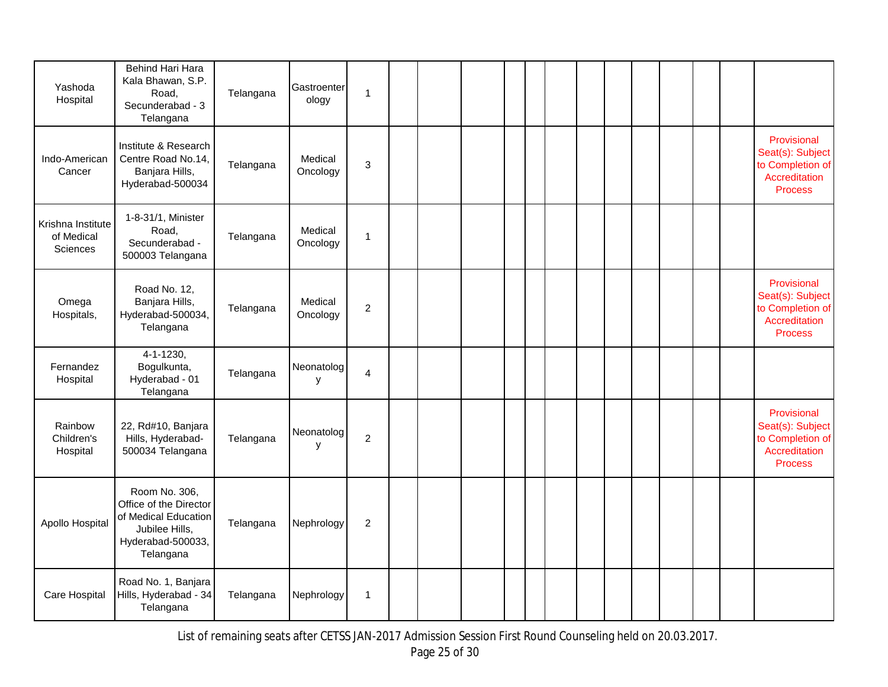| Yashoda<br>Hospital                         | Behind Hari Hara<br>Kala Bhawan, S.P.<br>Road,<br>Secunderabad - 3<br>Telangana                                     | Telangana | Gastroenter<br>ology | 1              |  |  |  |  |  |  |                                                                                        |
|---------------------------------------------|---------------------------------------------------------------------------------------------------------------------|-----------|----------------------|----------------|--|--|--|--|--|--|----------------------------------------------------------------------------------------|
| Indo-American<br>Cancer                     | Institute & Research<br>Centre Road No.14,<br>Banjara Hills,<br>Hyderabad-500034                                    | Telangana | Medical<br>Oncology  | 3              |  |  |  |  |  |  | Provisional<br>Seat(s): Subject<br>to Completion of<br>Accreditation<br><b>Process</b> |
| Krishna Institute<br>of Medical<br>Sciences | 1-8-31/1, Minister<br>Road,<br>Secunderabad -<br>500003 Telangana                                                   | Telangana | Medical<br>Oncology  | $\mathbf{1}$   |  |  |  |  |  |  |                                                                                        |
| Omega<br>Hospitals,                         | Road No. 12,<br>Banjara Hills,<br>Hyderabad-500034,<br>Telangana                                                    | Telangana | Medical<br>Oncology  | $\overline{c}$ |  |  |  |  |  |  | Provisional<br>Seat(s): Subject<br>to Completion of<br>Accreditation<br><b>Process</b> |
| Fernandez<br>Hospital                       | $4 - 1 - 1230$ ,<br>Bogulkunta,<br>Hyderabad - 01<br>Telangana                                                      | Telangana | Neonatolog<br>y      | 4              |  |  |  |  |  |  |                                                                                        |
| Rainbow<br>Children's<br>Hospital           | 22, Rd#10, Banjara<br>Hills, Hyderabad-<br>500034 Telangana                                                         | Telangana | Neonatolog<br>у      | $\overline{c}$ |  |  |  |  |  |  | Provisional<br>Seat(s): Subject<br>to Completion of<br>Accreditation<br><b>Process</b> |
| Apollo Hospital                             | Room No. 306,<br>Office of the Director<br>of Medical Education<br>Jubilee Hills,<br>Hyderabad-500033,<br>Telangana | Telangana | Nephrology           | $\overline{2}$ |  |  |  |  |  |  |                                                                                        |
| Care Hospital                               | Road No. 1, Banjara<br>Hills, Hyderabad - 34<br>Telangana                                                           | Telangana | Nephrology           | $\mathbf 1$    |  |  |  |  |  |  |                                                                                        |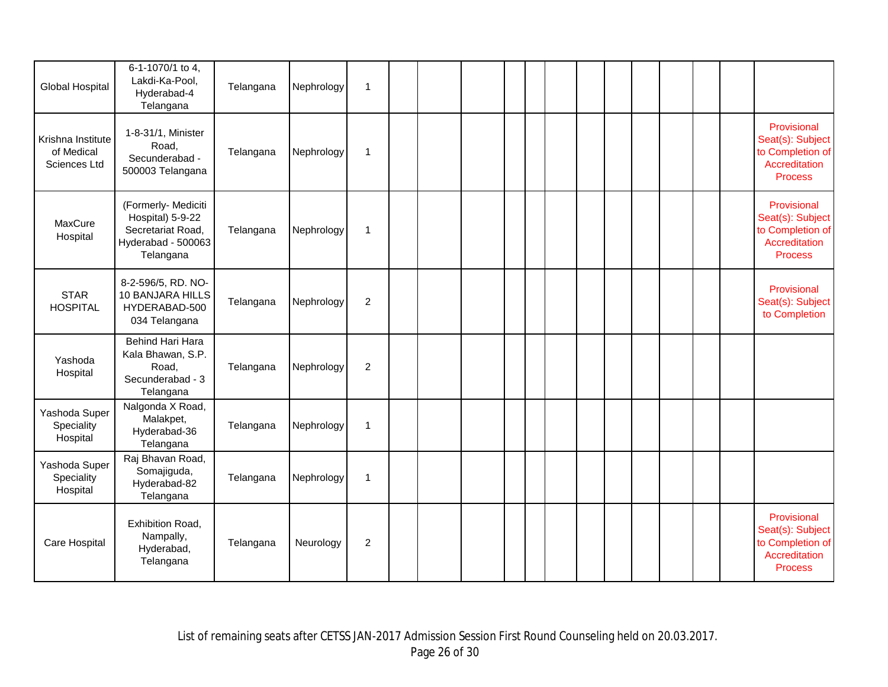| Global Hospital                                 | 6-1-1070/1 to 4,<br>Lakdi-Ka-Pool,<br>Hyderabad-4<br>Telangana                                  | Telangana | Nephrology | $\mathbf{1}$   |  |  |  |  |  |  |                                                                                        |
|-------------------------------------------------|-------------------------------------------------------------------------------------------------|-----------|------------|----------------|--|--|--|--|--|--|----------------------------------------------------------------------------------------|
| Krishna Institute<br>of Medical<br>Sciences Ltd | 1-8-31/1, Minister<br>Road,<br>Secunderabad -<br>500003 Telangana                               | Telangana | Nephrology | 1              |  |  |  |  |  |  | Provisional<br>Seat(s): Subject<br>to Completion of<br>Accreditation<br><b>Process</b> |
| MaxCure<br>Hospital                             | (Formerly- Mediciti<br>Hospital) 5-9-22<br>Secretariat Road,<br>Hyderabad - 500063<br>Telangana | Telangana | Nephrology | 1              |  |  |  |  |  |  | Provisional<br>Seat(s): Subject<br>to Completion of<br>Accreditation<br><b>Process</b> |
| <b>STAR</b><br><b>HOSPITAL</b>                  | 8-2-596/5, RD. NO-<br>10 BANJARA HILLS<br>HYDERABAD-500<br>034 Telangana                        | Telangana | Nephrology | $\overline{c}$ |  |  |  |  |  |  | Provisional<br>Seat(s): Subject<br>to Completion                                       |
| Yashoda<br>Hospital                             | Behind Hari Hara<br>Kala Bhawan, S.P.<br>Road,<br>Secunderabad - 3<br>Telangana                 | Telangana | Nephrology | $\overline{c}$ |  |  |  |  |  |  |                                                                                        |
| Yashoda Super<br>Speciality<br>Hospital         | Nalgonda X Road,<br>Malakpet,<br>Hyderabad-36<br>Telangana                                      | Telangana | Nephrology | 1              |  |  |  |  |  |  |                                                                                        |
| Yashoda Super<br>Speciality<br>Hospital         | Raj Bhavan Road,<br>Somajiguda,<br>Hyderabad-82<br>Telangana                                    | Telangana | Nephrology | 1              |  |  |  |  |  |  |                                                                                        |
| Care Hospital                                   | Exhibition Road,<br>Nampally,<br>Hyderabad,<br>Telangana                                        | Telangana | Neurology  | $\overline{c}$ |  |  |  |  |  |  | Provisional<br>Seat(s): Subject<br>to Completion of<br>Accreditation<br><b>Process</b> |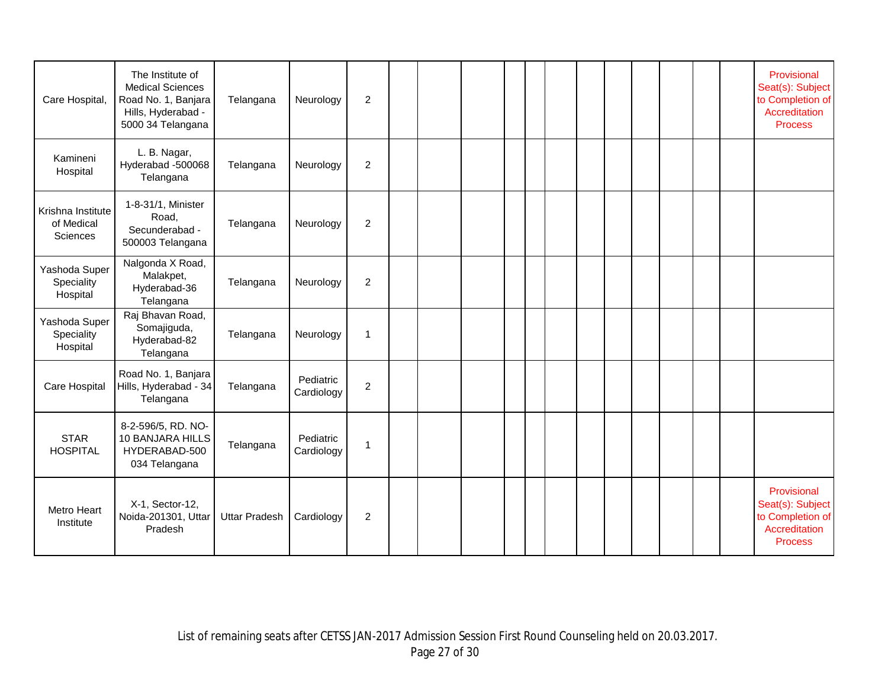| Care Hospital,                              | The Institute of<br><b>Medical Sciences</b><br>Road No. 1, Banjara<br>Hills, Hyderabad -<br>5000 34 Telangana | Telangana            | Neurology               | $\overline{c}$ |  |  |  |  |  |  | Provisional<br>Seat(s): Subject<br>to Completion of<br>Accreditation<br><b>Process</b> |
|---------------------------------------------|---------------------------------------------------------------------------------------------------------------|----------------------|-------------------------|----------------|--|--|--|--|--|--|----------------------------------------------------------------------------------------|
| Kamineni<br>Hospital                        | L. B. Nagar,<br>Hyderabad -500068<br>Telangana                                                                | Telangana            | Neurology               | $\overline{c}$ |  |  |  |  |  |  |                                                                                        |
| Krishna Institute<br>of Medical<br>Sciences | 1-8-31/1, Minister<br>Road,<br>Secunderabad -<br>500003 Telangana                                             | Telangana            | Neurology               | $\overline{2}$ |  |  |  |  |  |  |                                                                                        |
| Yashoda Super<br>Speciality<br>Hospital     | Nalgonda X Road,<br>Malakpet,<br>Hyderabad-36<br>Telangana                                                    | Telangana            | Neurology               | $\overline{c}$ |  |  |  |  |  |  |                                                                                        |
| Yashoda Super<br>Speciality<br>Hospital     | Raj Bhavan Road,<br>Somajiguda,<br>Hyderabad-82<br>Telangana                                                  | Telangana            | Neurology               | $\mathbf 1$    |  |  |  |  |  |  |                                                                                        |
| Care Hospital                               | Road No. 1, Banjara<br>Hills, Hyderabad - 34<br>Telangana                                                     | Telangana            | Pediatric<br>Cardiology | $\overline{c}$ |  |  |  |  |  |  |                                                                                        |
| <b>STAR</b><br><b>HOSPITAL</b>              | 8-2-596/5, RD. NO-<br>10 BANJARA HILLS<br>HYDERABAD-500<br>034 Telangana                                      | Telangana            | Pediatric<br>Cardiology | $\overline{1}$ |  |  |  |  |  |  |                                                                                        |
| Metro Heart<br>Institute                    | X-1, Sector-12,<br>Noida-201301, Uttar<br>Pradesh                                                             | <b>Uttar Pradesh</b> | Cardiology              | $\overline{c}$ |  |  |  |  |  |  | Provisional<br>Seat(s): Subject<br>to Completion of<br>Accreditation<br><b>Process</b> |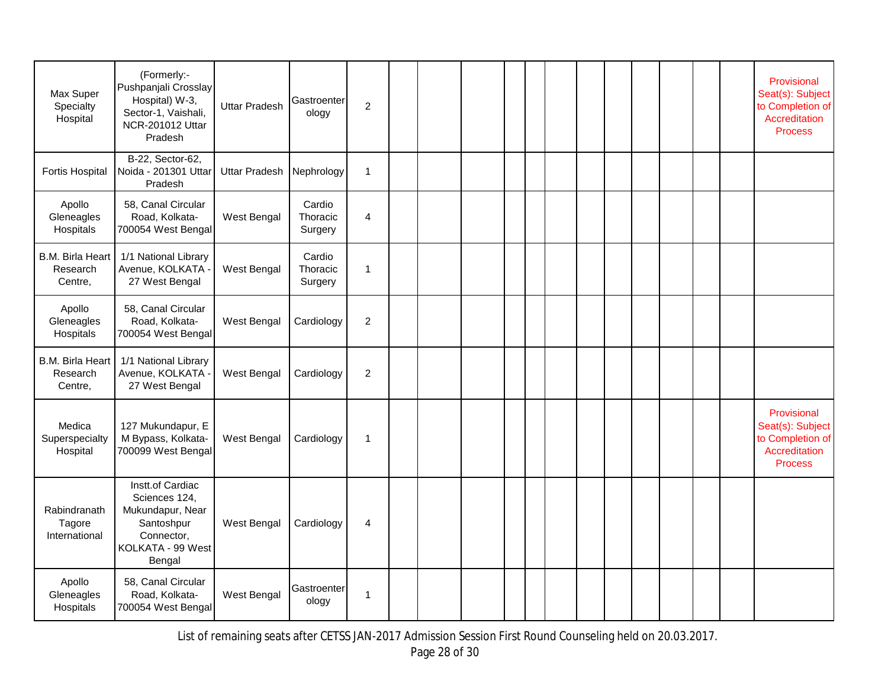| Max Super<br>Specialty<br>Hospital      | (Formerly:-<br>Pushpanjali Crosslay<br>Hospital) W-3,<br>Sector-1, Vaishali,<br>NCR-201012 Uttar<br>Pradesh      | <b>Uttar Pradesh</b> | Gastroenter<br>ology          | $\overline{2}$ |  |  |  |  |  |  | Provisional<br>Seat(s): Subject<br>to Completion of<br>Accreditation<br><b>Process</b> |
|-----------------------------------------|------------------------------------------------------------------------------------------------------------------|----------------------|-------------------------------|----------------|--|--|--|--|--|--|----------------------------------------------------------------------------------------|
| <b>Fortis Hospital</b>                  | B-22, Sector-62,<br>Noida - 201301 Uttar<br>Pradesh                                                              | <b>Uttar Pradesh</b> | Nephrology                    | $\mathbf{1}$   |  |  |  |  |  |  |                                                                                        |
| Apollo<br>Gleneagles<br>Hospitals       | 58, Canal Circular<br>Road, Kolkata-<br>700054 West Bengal                                                       | West Bengal          | Cardio<br>Thoracic<br>Surgery | $\overline{4}$ |  |  |  |  |  |  |                                                                                        |
| B.M. Birla Heart<br>Research<br>Centre, | 1/1 National Library<br>Avenue, KOLKATA -<br>27 West Bengal                                                      | West Bengal          | Cardio<br>Thoracic<br>Surgery | $\mathbf{1}$   |  |  |  |  |  |  |                                                                                        |
| Apollo<br>Gleneagles<br>Hospitals       | 58, Canal Circular<br>Road, Kolkata-<br>700054 West Bengal                                                       | West Bengal          | Cardiology                    | $\overline{2}$ |  |  |  |  |  |  |                                                                                        |
| B.M. Birla Heart<br>Research<br>Centre, | 1/1 National Library<br>Avenue, KOLKATA -<br>27 West Bengal                                                      | West Bengal          | Cardiology                    | $\overline{2}$ |  |  |  |  |  |  |                                                                                        |
| Medica<br>Superspecialty<br>Hospital    | 127 Mukundapur, E<br>M Bypass, Kolkata-<br>700099 West Bengal                                                    | West Bengal          | Cardiology                    | $\mathbf{1}$   |  |  |  |  |  |  | Provisional<br>Seat(s): Subject<br>to Completion of<br>Accreditation<br><b>Process</b> |
| Rabindranath<br>Tagore<br>International | Instt.of Cardiac<br>Sciences 124,<br>Mukundapur, Near<br>Santoshpur<br>Connector,<br>KOLKATA - 99 West<br>Bengal | West Bengal          | Cardiology                    | $\overline{4}$ |  |  |  |  |  |  |                                                                                        |
| Apollo<br>Gleneagles<br>Hospitals       | 58, Canal Circular<br>Road, Kolkata-<br>700054 West Bengal                                                       | West Bengal          | Gastroenter<br>ology          | 1              |  |  |  |  |  |  |                                                                                        |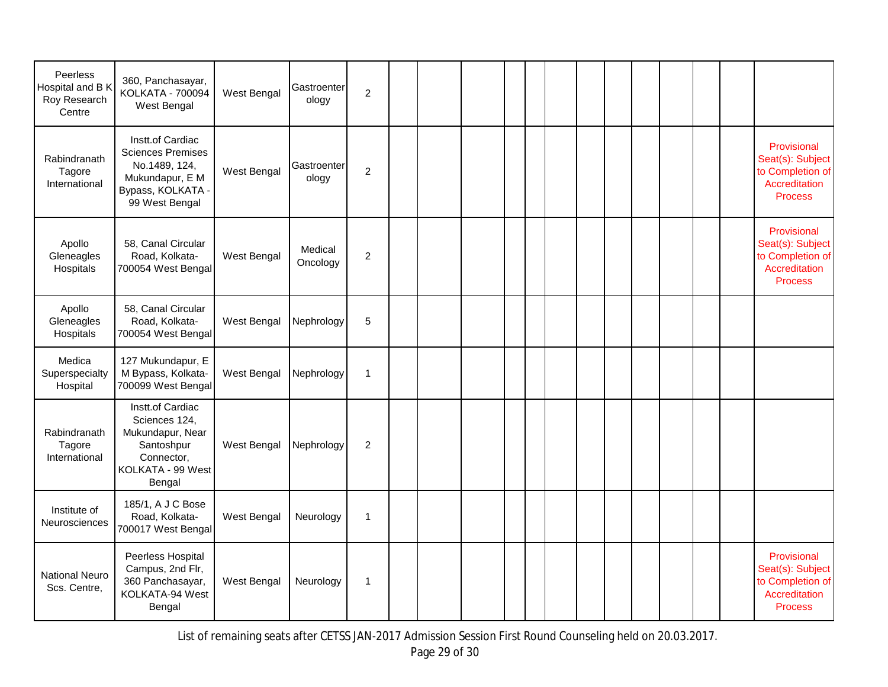| Peerless<br>Hospital and B K<br>Roy Research<br>Centre | 360, Panchasayar,<br>KOLKATA - 700094<br>West Bengal                                                                    | West Bengal | Gastroenter<br>ology | $\overline{c}$ |  |  |  |  |  |  |                                                                                        |
|--------------------------------------------------------|-------------------------------------------------------------------------------------------------------------------------|-------------|----------------------|----------------|--|--|--|--|--|--|----------------------------------------------------------------------------------------|
| Rabindranath<br>Tagore<br>International                | Instt.of Cardiac<br><b>Sciences Premises</b><br>No.1489, 124,<br>Mukundapur, E M<br>Bypass, KOLKATA -<br>99 West Bengal | West Bengal | Gastroenter<br>ology | $\overline{c}$ |  |  |  |  |  |  | Provisional<br>Seat(s): Subject<br>to Completion of<br>Accreditation<br><b>Process</b> |
| Apollo<br>Gleneagles<br>Hospitals                      | 58, Canal Circular<br>Road, Kolkata-<br>700054 West Bengal                                                              | West Bengal | Medical<br>Oncology  | $\overline{2}$ |  |  |  |  |  |  | Provisional<br>Seat(s): Subject<br>to Completion of<br>Accreditation<br><b>Process</b> |
| Apollo<br>Gleneagles<br>Hospitals                      | 58, Canal Circular<br>Road, Kolkata-<br>700054 West Bengal                                                              | West Bengal | Nephrology           | $\sqrt{5}$     |  |  |  |  |  |  |                                                                                        |
| Medica<br>Superspecialty<br>Hospital                   | 127 Mukundapur, E<br>M Bypass, Kolkata-<br>700099 West Bengal                                                           | West Bengal | Nephrology           | $\mathbf{1}$   |  |  |  |  |  |  |                                                                                        |
| Rabindranath<br>Tagore<br>International                | Instt.of Cardiac<br>Sciences 124,<br>Mukundapur, Near<br>Santoshpur<br>Connector,<br>KOLKATA - 99 West<br>Bengal        | West Bengal | Nephrology           | 2              |  |  |  |  |  |  |                                                                                        |
| Institute of<br>Neurosciences                          | 185/1, A J C Bose<br>Road, Kolkata-<br>700017 West Bengal                                                               | West Bengal | Neurology            | $\mathbf{1}$   |  |  |  |  |  |  |                                                                                        |
| <b>National Neuro</b><br>Scs. Centre,                  | Peerless Hospital<br>Campus, 2nd Flr,<br>360 Panchasayar,<br>KOLKATA-94 West<br>Bengal                                  | West Bengal | Neurology            | $\mathbf{1}$   |  |  |  |  |  |  | Provisional<br>Seat(s): Subject<br>to Completion of<br>Accreditation<br><b>Process</b> |